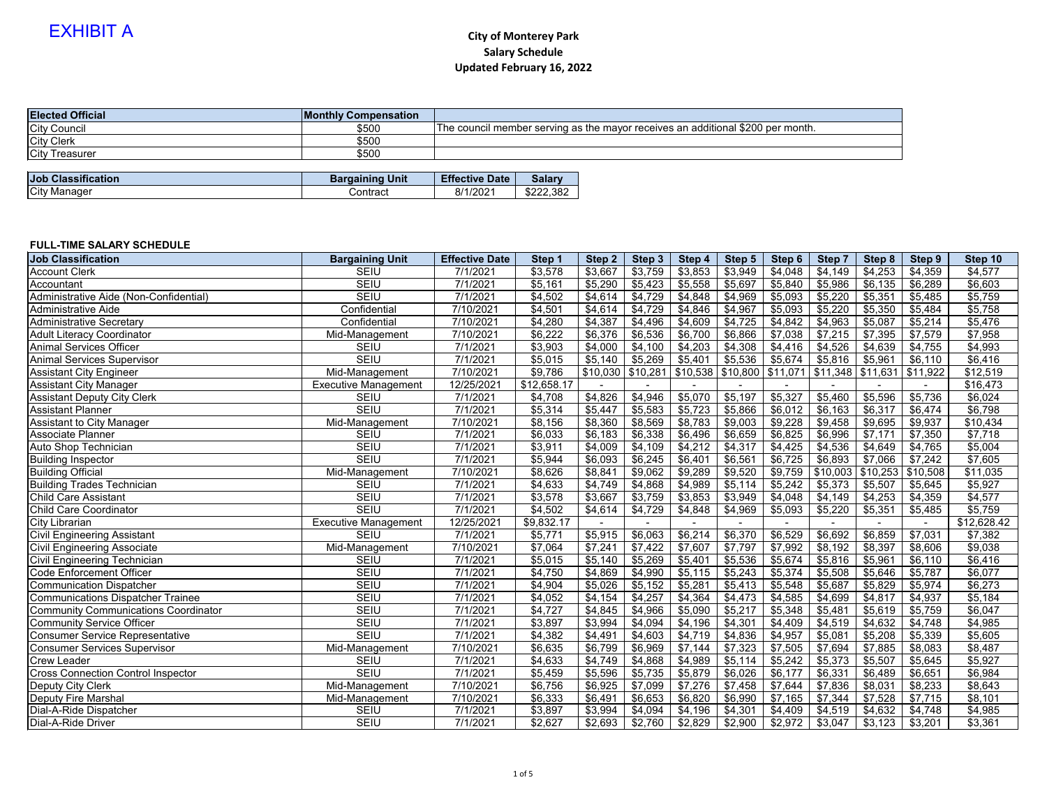#### **FULL-TIME SALARY SCHEDULE**

| <b>Elected Official</b>   | <b>Monthly Compensation</b> |                       |               |                                                                                 |
|---------------------------|-----------------------------|-----------------------|---------------|---------------------------------------------------------------------------------|
| <b>City Council</b>       | \$500                       |                       |               | The council member serving as the mayor receives an additional \$200 per month. |
| <b>City Clerk</b>         | \$500                       |                       |               |                                                                                 |
| <b>City Treasurer</b>     | \$500                       |                       |               |                                                                                 |
|                           |                             |                       |               |                                                                                 |
| <b>Job Classification</b> | <b>Bargaining Unit</b>      | <b>Effective Date</b> | <b>Salary</b> |                                                                                 |
| City Manager              | Contract                    | 8/1/2021              | \$222,382     |                                                                                 |

| <b>Job Classification</b>                   | <b>Bargaining Unit</b>      | <b>Effective Date</b> | Step 1      | Step 2              | Step 3  | Step 4   | Step 5   | Step 6   | Step 7   | Step 8   | Step 9   | Step 10     |
|---------------------------------------------|-----------------------------|-----------------------|-------------|---------------------|---------|----------|----------|----------|----------|----------|----------|-------------|
| <b>Account Clerk</b>                        | <b>SEIU</b>                 | 7/1/2021              | \$3,578     | \$3,667             | \$3,759 | \$3,853  | \$3,949  | \$4,048  | \$4,149  | \$4,253  | \$4,359  | \$4,577     |
| Accountant                                  | <b>SEIU</b>                 | 7/1/2021              | \$5,161     | \$5,290             | \$5,423 | \$5,558  | \$5,697  | \$5,840  | \$5,986  | \$6,135  | \$6,289  | \$6,603     |
| Administrative Aide (Non-Confidential)      | <b>SEIU</b>                 | 7/1/2021              | \$4,502     | \$4,614             | \$4,729 | \$4,848  | \$4,969  | \$5,093  | \$5,220  | \$5,351  | \$5,485  | \$5,759     |
| <b>Administrative Aide</b>                  | Confidential                | 7/10/2021             | \$4,501     | \$4,614             | \$4,729 | \$4,846  | \$4,967  | \$5,093  | \$5,220  | \$5,350  | \$5,484  | \$5,758     |
| <b>Administrative Secretary</b>             | Confidential                | 7/10/2021             | \$4,280     | \$4,387             | \$4,496 | \$4,609  | \$4,725  | \$4,842  | \$4,963  | \$5,087  | \$5,214  | \$5,476     |
| <b>Adult Literacy Coordinator</b>           | Mid-Management              | 7/10/2021             | \$6,222     | \$6,376             | \$6,536 | \$6,700  | \$6,866  | \$7,038  | \$7,215  | \$7,395  | \$7,579  | \$7,958     |
| <b>Animal Services Officer</b>              | <b>SEIU</b>                 | 7/1/2021              | \$3,903     | \$4,000             | \$4,100 | \$4,203  | \$4,308  | \$4,416  | \$4,526  | \$4,639  | \$4,755  | \$4,993     |
| <b>Animal Services Supervisor</b>           | <b>SEIU</b>                 | 7/1/2021              | \$5,015     | \$5,140             | \$5,269 | \$5,401  | \$5,536  | \$5,674  | \$5,816  | \$5,961  | \$6,110  | \$6,416     |
| Assistant City Engineer                     | Mid-Management              | 7/10/2021             | \$9,786     | $$10,030$ $$10,281$ |         | \$10,538 | \$10,800 | \$11,071 | \$11,348 | \$11,631 | \$11,922 | \$12,519    |
| <b>Assistant City Manager</b>               | <b>Executive Management</b> | 12/25/2021            | \$12,658.17 |                     |         |          |          |          |          |          |          | \$16,473    |
| <b>Assistant Deputy City Clerk</b>          | <b>SEIU</b>                 | 7/1/2021              | \$4,708     | \$4,826             | \$4,946 | \$5,070  | \$5,197  | \$5,327  | \$5,460  | \$5,596  | \$5,736  | \$6,024     |
| <b>Assistant Planner</b>                    | <b>SEIU</b>                 | 7/1/2021              | \$5,314     | \$5,447             | \$5,583 | \$5,723  | \$5,866  | \$6,012  | \$6,163  | \$6,317  | \$6,474  | \$6,798     |
| <b>Assistant to City Manager</b>            | Mid-Management              | 7/10/2021             | \$8,156     | \$8,360             | \$8,569 | \$8,783  | \$9,003  | \$9,228  | \$9,458  | \$9,695  | \$9,937  | \$10,434    |
| <b>Associate Planner</b>                    | <b>SEIU</b>                 | 7/1/2021              | \$6,033     | \$6,183             | \$6,338 | \$6,496  | \$6,659  | \$6,825  | \$6,996  | \$7,171  | \$7,350  | \$7,718     |
| Auto Shop Technician                        | <b>SEIU</b>                 | 7/1/2021              | \$3,911     | \$4,009             | \$4,109 | \$4,212  | \$4,317  | \$4,425  | \$4,536  | \$4,649  | \$4,765  | \$5,004     |
| <b>Building Inspector</b>                   | <b>SEIU</b>                 | 7/1/2021              | \$5,944     | \$6,093             | \$6,245 | \$6,401  | \$6,561  | \$6,725  | \$6,893  | \$7,066  | \$7,242  | \$7,605     |
| <b>Building Official</b>                    | Mid-Management              | 7/10/2021             | \$8,626     | \$8,841             | \$9,062 | \$9,289  | \$9,520  | \$9,759  | \$10,003 | \$10,253 | \$10,508 | \$11,035    |
| <b>Building Trades Technician</b>           | <b>SEIU</b>                 | 7/1/2021              | \$4,633     | \$4,749             | \$4,868 | \$4,989  | \$5,114  | \$5,242  | \$5,373  | \$5,507  | \$5,645  | \$5,927     |
| <b>Child Care Assistant</b>                 | <b>SEIU</b>                 | 7/1/2021              | \$3,578     | \$3,667             | \$3,759 | \$3,853  | \$3,949  | \$4,048  | \$4,149  | \$4,253  | \$4,359  | \$4,577     |
| <b>Child Care Coordinator</b>               | <b>SEIU</b>                 | 7/1/2021              | \$4,502     | \$4,614             | \$4,729 | \$4,848  | \$4,969  | \$5,093  | \$5,220  | \$5,351  | \$5,485  | \$5,759     |
| <b>City Librarian</b>                       | <b>Executive Management</b> | 12/25/2021            | \$9,832.17  |                     |         |          |          |          |          |          |          | \$12,628.42 |
| <b>Civil Engineering Assistant</b>          | <b>SEIU</b>                 | 7/1/2021              | \$5,771     | \$5,915             | \$6,063 | \$6,214  | \$6,370  | \$6,529  | \$6,692  | \$6,859  | \$7,031  | \$7,382     |
| <b>Civil Engineering Associate</b>          | Mid-Management              | 7/10/2021             | \$7,064     | \$7,241             | \$7,422 | \$7,607  | \$7,797  | \$7,992  | \$8,192  | \$8,397  | \$8,606  | \$9,038     |
| <b>Civil Engineering Technician</b>         | <b>SEIU</b>                 | 7/1/2021              | \$5,015     | \$5,140             | \$5,269 | \$5,401  | \$5,536  | \$5,674  | \$5,816  | \$5,961  | \$6,110  | \$6,416     |
| <b>Code Enforcement Officer</b>             | <b>SEIU</b>                 | 7/1/2021              | \$4,750     | \$4,869             | \$4,990 | \$5,115  | \$5,243  | \$5,374  | \$5,508  | \$5,646  | \$5,787  | \$6,077     |
| <b>Communication Dispatcher</b>             | <b>SEIU</b>                 | 7/1/2021              | \$4,904     | \$5,026             | \$5,152 | \$5,281  | \$5,413  | \$5,548  | \$5,687  | \$5,829  | \$5,974  | \$6,273     |
| <b>Communications Dispatcher Trainee</b>    | <b>SEIU</b>                 | 7/1/2021              | \$4,052     | \$4,154             | \$4,257 | \$4,364  | \$4,473  | \$4,585  | \$4,699  | \$4,817  | \$4,937  | \$5,184     |
| <b>Community Communications Coordinator</b> | <b>SEIU</b>                 | 7/1/2021              | \$4,727     | \$4,845             | \$4,966 | \$5,090  | \$5,217  | \$5,348  | \$5,481  | \$5,619  | \$5,759  | \$6,047     |
| <b>Community Service Officer</b>            | <b>SEIU</b>                 | 7/1/2021              | \$3,897     | \$3,994             | \$4,094 | \$4,196  | \$4,301  | \$4,409  | \$4,519  | \$4,632  | \$4,748  | \$4,985     |
| <b>Consumer Service Representative</b>      | <b>SEIU</b>                 | 7/1/2021              | \$4,382     | \$4,491             | \$4,603 | \$4,719  | \$4,836  | \$4,957  | \$5,081  | \$5,208  | \$5,339  | \$5,605     |
| <b>Consumer Services Supervisor</b>         | Mid-Management              | 7/10/2021             | \$6,635     | \$6,799             | \$6,969 | \$7,144  | \$7,323  | $$7,505$ | \$7,694  | \$7,885  | \$8,083  | \$8,487     |
| <b>Crew Leader</b>                          | <b>SEIU</b>                 | 7/1/2021              | \$4,633     | \$4,749             | \$4,868 | \$4,989  | \$5,114  | \$5,242  | \$5,373  | \$5,507  | \$5,645  | \$5,927     |
| <b>Cross Connection Control Inspector</b>   | <b>SEIU</b>                 | 7/1/2021              | \$5,459     | \$5,596             | \$5,735 | \$5,879  | \$6,026  | \$6,177  | \$6,331  | \$6,489  | \$6,651  | \$6,984     |
| Deputy City Clerk                           | Mid-Management              | 7/10/2021             | \$6,756     | \$6,925             | \$7,099 | \$7,276  | \$7,458  | \$7,644  | \$7,836  | \$8,031  | \$8,233  | \$8,643     |
| <b>Deputy Fire Marshal</b>                  | Mid-Management              | 7/10/2021             | \$6,333     | \$6,491             | \$6,653 | \$6,820  | \$6,990  | \$7,165  | \$7,344  | \$7,528  | \$7,715  | \$8,101     |
| Dial-A-Ride Dispatcher                      | <b>SEIU</b>                 | 7/1/2021              | \$3,897     | \$3,994             | \$4,094 | \$4,196  | \$4,301  | \$4,409  | \$4,519  | \$4,632  | \$4,748  | \$4,985     |
| Dial-A-Ride Driver                          | <b>SEIU</b>                 | 7/1/2021              | \$2,627     | \$2,693             | \$2,760 | \$2,829  | \$2,900  | \$2,972  | \$3,047  | $$3,123$ | \$3,201  | \$3,361     |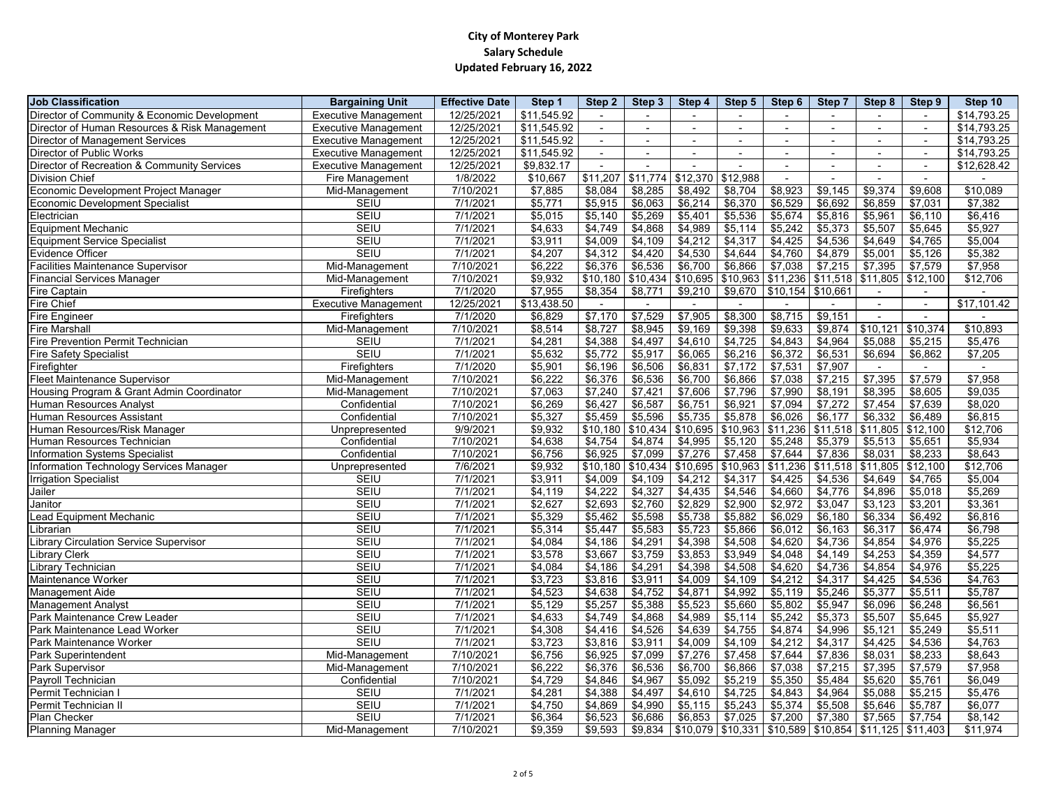| <b>Job Classification</b><br><b>Bargaining Unit</b><br><b>Effective Date</b>               | Step 1      | Step 2         | Step 3   | Step 4   | Step 5   | Step 6                                                                                                                        | <b>Step 7</b>       | Step 8                  | Step 9   | Step 10     |
|--------------------------------------------------------------------------------------------|-------------|----------------|----------|----------|----------|-------------------------------------------------------------------------------------------------------------------------------|---------------------|-------------------------|----------|-------------|
| Director of Community & Economic Development<br><b>Executive Management</b><br>12/25/2021  | \$11,545.92 |                |          |          |          |                                                                                                                               |                     |                         |          | \$14,793.25 |
| Director of Human Resources & Risk Management<br>12/25/2021<br><b>Executive Management</b> | \$11,545.92 |                |          |          |          |                                                                                                                               |                     |                         |          | \$14,793.25 |
| <b>Director of Management Services</b><br>12/25/2021<br><b>Executive Management</b>        | \$11,545.92 |                |          |          |          |                                                                                                                               |                     |                         |          | \$14,793.25 |
| <b>Director of Public Works</b><br><b>Executive Management</b><br>12/25/2021               | \$11,545.92 | $\blacksquare$ |          |          |          |                                                                                                                               |                     |                         |          | \$14,793.25 |
| Director of Recreation & Community Services<br><b>Executive Management</b><br>12/25/2021   | \$9,832.17  |                |          |          |          |                                                                                                                               |                     |                         |          | \$12,628.42 |
| <b>Division Chief</b><br>Fire Management<br>1/8/2022                                       | \$10,667    | \$11,207       | \$11,774 | \$12,370 | \$12,988 |                                                                                                                               |                     |                         |          |             |
| Economic Development Project Manager<br>7/10/2021<br>Mid-Management                        | \$7,885     | \$8,084        | \$8,285  | \$8,492  | \$8,704  | \$8,923                                                                                                                       | \$9,145             | \$9,374                 | \$9,608  | \$10,089    |
| <b>SEIU</b><br><b>Economic Development Specialist</b><br>7/1/2021                          | \$5,771     | \$5,915        | \$6,063  | \$6,214  | \$6,370  | \$6,529                                                                                                                       | \$6,692             | \$6,859                 | \$7,031  | \$7,382     |
| <b>SEIU</b><br>Electrician<br>7/1/2021                                                     | \$5,015     | \$5,140        | \$5,269  | \$5,401  | \$5,536  | \$5,674                                                                                                                       | \$5,816             | \$5,961                 | \$6,110  | \$6,416     |
| Equipment Mechanic<br><b>SEIU</b><br>7/1/2021                                              | \$4,633     | \$4,749        | \$4,868  | \$4,989  | \$5,114  | \$5,242                                                                                                                       | \$5,373             | \$5,507                 | \$5,645  | \$5,927     |
| <b>SEIU</b><br>7/1/2021<br><b>Equipment Service Specialist</b>                             | \$3,911     | \$4,009        | \$4,109  | \$4,212  | \$4,317  | \$4,425                                                                                                                       | \$4,536             | \$4,649                 | \$4,765  | \$5,004     |
| Evidence Officer<br><b>SEIU</b><br>7/1/2021                                                | \$4,207     | \$4,312        | \$4,420  | \$4,530  | \$4,644  | \$4,760                                                                                                                       | \$4,879             | \$5,001                 | \$5,126  | \$5,382     |
| <b>Facilities Maintenance Supervisor</b><br>7/10/2021<br>Mid-Management                    | \$6,222     | \$6,376        | \$6,536  | \$6,700  | \$6,866  | \$7,038                                                                                                                       | \$7,215             | \$7,395                 | \$7,579  | \$7,958     |
| <b>Financial Services Manager</b><br>7/10/2021<br>Mid-Management                           | \$9,932     | \$10,180       | \$10,434 | \$10,695 | \$10,963 |                                                                                                                               | $$11,236$ $$11,518$ | $\sqrt{1,805}$ \$12,100 |          | \$12,706    |
| <b>Fire Captain</b><br>7/1/2020<br><b>Firefighters</b>                                     | \$7,955     | \$8,354        | \$8,771  | \$9,210  | \$9,670  | \$10,154                                                                                                                      | \$10,661            |                         |          |             |
| Fire Chief<br><b>Executive Management</b><br>12/25/2021                                    | \$13,438.50 |                |          |          |          |                                                                                                                               |                     |                         |          | \$17,101.42 |
| <b>Fire Engineer</b><br>7/1/2020<br>Firefighters                                           | \$6,829     | \$7,170        | \$7,529  | \$7,905  | \$8,300  | \$8,715                                                                                                                       | \$9,151             |                         |          |             |
| <b>Fire Marshall</b><br>7/10/2021<br>Mid-Management                                        | \$8,514     | \$8,727        | \$8,945  | \$9,169  | \$9,398  | \$9,633                                                                                                                       | \$9,874             | \$10,121                | \$10,374 | \$10,893    |
| <b>Fire Prevention Permit Technician</b><br><b>SEIU</b><br>7/1/2021                        | \$4,281     | \$4,388        | \$4,497  | \$4,610  | \$4,725  | \$4,843                                                                                                                       | \$4,964             | \$5,088                 | \$5,215  | \$5,476     |
| <b>Fire Safety Specialist</b><br><b>SEIU</b><br>7/1/2021                                   | \$5,632     | \$5,772        | \$5,917  | \$6,065  | \$6,216  | \$6,372                                                                                                                       | \$6,531             | \$6,694                 | \$6,862  | \$7,205     |
| Firefighter<br>7/1/2020<br>Firefighters                                                    | \$5,901     | \$6,196        | \$6,506  | \$6,831  | \$7,172  | \$7,531                                                                                                                       | \$7,907             |                         |          |             |
| <b>Fleet Maintenance Supervisor</b><br>7/10/2021<br>Mid-Management                         | \$6,222     | \$6,376        | \$6,536  | \$6,700  | \$6,866  | \$7,038                                                                                                                       | \$7,215             | \$7,395                 | \$7,579  | \$7,958     |
| 7/10/2021<br>Housing Program & Grant Admin Coordinator<br>Mid-Management                   | \$7,063     | \$7,240        | \$7,421  | \$7,606  | \$7,796  | \$7,990                                                                                                                       | \$8,191             | \$8,395                 | \$8,605  | \$9,035     |
| Human Resources Analyst<br>7/10/2021<br>Confidential                                       | \$6,269     | \$6,427        | \$6,587  | \$6,751  | \$6,921  | \$7,094                                                                                                                       | \$7,272             | \$7,454                 | \$7,639  | \$8,020     |
| <b>Human Resources Assistant</b><br>7/10/2021<br>Confidential                              | \$5,327     | \$5,459        | \$5,596  | \$5,735  | \$5,878  | \$6,026                                                                                                                       | \$6,177             | \$6,332                 | \$6,489  | \$6,815     |
| 9/9/2021<br>Human Resources/Risk Manager<br>Jnprepresented                                 | \$9,932     | \$10,180       | \$10,434 | \$10,695 | \$10,963 | \$11,236                                                                                                                      | \$11,518            | \$11,805                | \$12,100 | \$12,706    |
| 7/10/2021<br>Human Resources Technician<br>Confidential                                    | \$4,638     | \$4,754        | \$4,874  | \$4,995  | \$5,120  | \$5,248                                                                                                                       | \$5,379             | \$5,513                 | \$5,651  | \$5,934     |
| 7/10/2021<br>Information Systems Specialist<br>Confidential                                | \$6,756     | \$6,925        | \$7,099  | \$7,276  | \$7,458  | \$7,644                                                                                                                       | \$7,836             | \$8,031                 | \$8,233  | \$8,643     |
| Information Technology Services Manager<br>7/6/2021<br>Unprepresented                      | \$9,932     | \$10,180       | \$10,434 | \$10,695 | \$10,963 | \$11,236                                                                                                                      | \$11,518            | \$11,805                | \$12,100 | \$12,706    |
| <b>Irrigation Specialist</b><br><b>SEIU</b><br>7/1/2021                                    | \$3,911     | \$4,009        | \$4,109  | \$4,212  | \$4,317  | \$4,425                                                                                                                       | \$4,536             | \$4,649                 | \$4,765  | \$5,004     |
| Jailer<br><b>SEIU</b><br>7/1/2021                                                          | \$4,119     | \$4,222        | \$4,327  | \$4,435  | \$4,546  | \$4,660                                                                                                                       | \$4,776             | \$4,896                 | \$5,018  | \$5,269     |
| <b>SEIU</b><br>Janitor<br>7/1/2021                                                         | \$2,627     | \$2,693        | \$2,760  | \$2,829  | \$2,900  | \$2,972                                                                                                                       | \$3,047             | \$3,123                 | \$3,201  | \$3,361     |
| Lead Equipment Mechanic<br><b>SEIU</b><br>7/1/2021                                         | \$5,329     | \$5,462        | \$5,598  | \$5,738  | \$5,882  | \$6,029                                                                                                                       | \$6,180             | \$6,334                 | \$6,492  | \$6,816     |
| <b>SEIU</b><br>Librarian<br>7/1/2021                                                       | \$5,314     | \$5,447        | \$5,583  | \$5,723  | \$5,866  | \$6,012                                                                                                                       | \$6,163             | \$6,317                 | \$6,474  | \$6,798     |
| Library Circulation Service Supervisor<br><b>SEIU</b><br>7/1/2021                          | \$4,084     | \$4,186        | \$4,291  | \$4,398  | \$4,508  | \$4,620                                                                                                                       | \$4,736             | \$4,854                 | \$4,976  | \$5,225     |
| <b>SEIU</b><br><b>Library Clerk</b><br>7/1/2021                                            | \$3,578     | \$3,667        | \$3,759  | \$3,853  | \$3,949  | \$4,048                                                                                                                       | \$4,149             | \$4,253                 | \$4,359  | \$4,577     |
| <b>SEIU</b><br><b>Library Technician</b><br>7/1/2021                                       | \$4,084     | \$4,186        | \$4,291  | \$4,398  | \$4,508  | \$4,620                                                                                                                       | \$4,736             | \$4,854                 | \$4,976  | \$5,225     |
| Maintenance Worker<br><b>SEIU</b><br>7/1/2021                                              | \$3,723     | \$3,816        | \$3,911  | \$4,009  | \$4,109  | \$4,212                                                                                                                       | \$4,317             | \$4,425                 | \$4,536  | \$4,763     |
| Management Aide<br><b>SEIU</b><br>7/1/2021                                                 | \$4,523     | \$4,638        | \$4,752  | \$4,871  | \$4,992  | \$5,119                                                                                                                       | \$5,246             | \$5,377                 | \$5,511  | \$5,787     |
| Management Analyst<br><b>SEIU</b><br>7/1/2021                                              | \$5,129     | \$5,257        | \$5,388  | \$5,523  | \$5,660  | \$5,802                                                                                                                       | \$5,947             | \$6,096                 | \$6,248  | \$6,561     |
| Park Maintenance Crew Leader<br><b>SEIU</b><br>7/1/2021                                    | \$4,633     | \$4,749        | \$4,868  | \$4,989  | \$5,114  | \$5,242                                                                                                                       | \$5,373             | \$5,507                 | \$5,645  | \$5,927     |
| Park Maintenance Lead Worker<br><b>SEIU</b><br>7/1/2021                                    | \$4,308     | \$4,416        | \$4,526  | \$4,639  | \$4,755  | \$4,874                                                                                                                       | \$4,996             | \$5,121                 | \$5,249  | \$5,511     |
| Park Maintenance Worker<br><b>SEIU</b><br>7/1/2021                                         | \$3,723     | \$3,816        | \$3,911  | \$4,009  | \$4,109  | \$4,212                                                                                                                       | \$4,317             | \$4,425                 | \$4,536  | \$4,763     |
| <b>Park Superintendent</b><br>7/10/2021<br>Mid-Management                                  | \$6,756     | \$6,925        | \$7,099  | \$7,276  | \$7,458  | \$7,644                                                                                                                       | \$7,836             | \$8,031                 | \$8,233  | \$8,643     |
| <b>Park Supervisor</b><br>7/10/2021<br>Mid-Management                                      | \$6,222     | \$6,376        | \$6,536  | \$6,700  | \$6,866  | \$7,038                                                                                                                       | \$7,215             | \$7,395                 | \$7,579  | \$7,958     |
| Payroll Technician<br>Confidential<br>7/10/2021                                            | \$4,729     | \$4,846        | \$4,967  | \$5,092  | \$5,219  | \$5,350                                                                                                                       | \$5,484             | \$5,620                 | \$5,761  | \$6,049     |
| <b>SEIU</b><br>Permit Technician<br>7/1/2021                                               | \$4,281     | \$4,388        | \$4,497  | \$4,610  | \$4,725  | \$4,843                                                                                                                       | \$4,964             | \$5,088                 | \$5,215  | \$5,476     |
| Permit Technician II<br><b>SEIU</b><br>7/1/2021                                            | \$4,750     | \$4,869        | \$4,990  | \$5,115  | \$5,243  | \$5,374                                                                                                                       | \$5,508             | \$5,646                 | \$5,787  | \$6,077     |
| <b>SEIU</b><br>7/1/2021<br><b>Plan Checker</b>                                             | \$6,364     | \$6,523        | \$6,686  | \$6,853  | \$7,025  | \$7,200                                                                                                                       | \$7,380             | \$7,565                 | \$7,754  | \$8,142     |
| Planning Manager<br>Mid-Management<br>7/10/2021                                            | \$9,359     | \$9,593        | \$9,834  |          |          | $\overline{$10,079}$ $\overline{$10,331}$ $\overline{$10,589}$ $\overline{$10,854}$ $\overline{$11,125}$ $\overline{$11,403}$ |                     |                         |          | \$11,974    |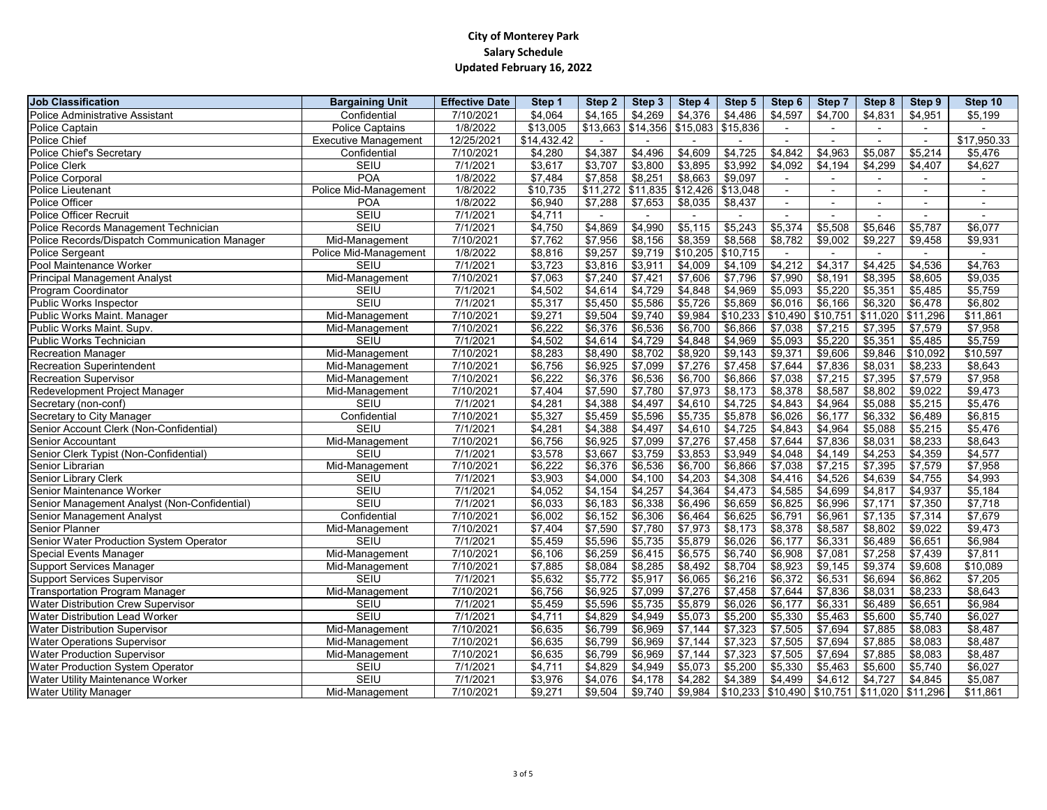| Police Administrative Assistant<br>\$4,597<br>Confidential<br>7/10/2021<br>\$4,064<br>\$4,165<br>\$4,269<br>\$4,376<br>\$4,486<br>\$4,700<br>\$4,831<br>\$4,951<br>\$5,199<br>\$13,663<br>\$14,356<br>\$15,083<br><b>Police Captain</b><br><b>Police Captains</b><br>1/8/2022<br>\$13,005<br>\$15,836<br>\$17,950.33<br>\$14,432.42<br>12/25/2021<br><b>Executive Management</b><br>Police Chief's Secretary<br>\$4,387<br>\$4,496<br>\$4,609<br>\$4,725<br>\$4,842<br>\$4,963<br>\$5,087<br>\$5,214<br>7/10/2021<br>\$4,280<br>\$5,476<br>Confidential<br>\$4,092<br><b>SEIU</b><br>7/1/2021<br>\$3,617<br>\$3,707<br>\$3,800<br>\$3,895<br>\$3,992<br>\$4,194<br>\$4,299<br>\$4,627<br>\$4,407<br>\$8,663<br><b>POA</b><br>\$7,858<br>\$8,251<br>\$9,097<br>1/8/2022<br>\$7,484<br>$\overline{\phantom{a}}$<br>$$11,272$ $$11,835$<br>\$12,426<br>\$13,048<br>Police Mid-Management<br>1/8/2022<br>\$10,735<br>$\qquad \qquad \blacksquare$<br>\$6,940<br><b>POA</b><br>1/8/2022<br>\$7,288<br>\$7,653<br>\$8,035<br>\$8,437<br>$\blacksquare$<br>$\overline{\phantom{0}}$<br>$\overline{\phantom{0}}$<br>Police Officer Recruit<br><b>SEIU</b><br>\$4,711<br>7/1/2021<br>Police Records Management Technician<br><b>SEIU</b><br>\$4,869<br>\$5,243<br>\$5,374<br>\$5,646<br>7/1/2021<br>\$4,750<br>\$4,990<br>\$5,115<br>\$5,508<br>\$5,787<br>\$6,077<br>\$7,956<br>\$8,156<br>\$8,359<br>\$8,568<br>\$8,782<br>\$9,227<br>Police Records/Dispatch Communication Manager<br>7/10/2021<br>\$7,762<br>\$9,002<br>\$9,458<br>\$9,931<br>Mid-Management<br>\$10,205<br><b>Police Sergeant</b><br>\$8,816<br>\$9,257<br>\$9,719<br>\$10,715<br>Police Mid-Management<br>1/8/2022<br>Pool Maintenance Worker<br>\$3,723<br>\$4,212<br>\$4,317<br>\$4,425<br>\$4,763<br>\$3,816<br>\$3,911<br>\$4,009<br>\$4,109<br>\$4,536<br><b>SEIU</b><br>7/1/2021<br><b>Principal Management Analyst</b><br>\$7,063<br>\$7,240<br>\$7,421<br>\$7,606<br>\$7,796<br>\$7,990<br>\$8,395<br>\$9,035<br>7/10/2021<br>\$8,191<br>\$8,605<br>Mid-Management<br>Program Coordinator<br><b>SEIU</b><br>7/1/2021<br>\$4,502<br>\$4,614<br>\$4,729<br>\$4,848<br>\$4,969<br>\$5,093<br>\$5,220<br>\$5,351<br>\$5,759<br>\$5,485<br>\$5,726<br><b>SEIU</b><br>\$5,317<br>\$5,586<br>\$5,869<br>\$6,016<br>\$6,166<br>\$6,320<br>\$6,478<br>\$6,802<br>7/1/2021<br>\$5,450<br>\$9,984<br>\$10,233<br>\$10,490<br>\$11,020<br>Public Works Maint. Manager<br>\$9,271<br>\$9,504<br>\$9,740<br>\$10,751<br>\$11,296<br>\$11,861<br>Mid-Management<br>7/10/2021<br>Public Works Maint. Supv.<br>\$6,222<br>\$6,376<br>\$6,536<br>\$6,700<br>\$6,866<br>\$7,038<br>\$7,215<br>\$7,395<br>\$7,958<br>7/10/2021<br>\$7,579<br>Mid-Management<br>\$5,093<br>\$5,759<br><b>SEIU</b><br>7/1/2021<br>\$4,502<br>\$4,614<br>\$4,729<br>\$4,848<br>\$4,969<br>\$5,220<br>\$5,351<br><b>Public Works Technician</b><br>\$5,485<br><b>Recreation Manager</b><br>\$8,283<br>\$8,490<br>\$8,702<br>\$8,920<br>\$9,143<br>\$9,371<br>\$9,606<br>\$9,846<br>\$10,092<br>\$10,597<br>Mid-Management<br>7/10/2021<br>\$7,276<br>\$7,458<br>\$8,643<br>\$6,756<br>\$6,925<br>\$7,099<br>\$7,644<br>\$7,836<br>\$8,031<br>Mid-Management<br>7/10/2021<br>\$8,233<br><b>Recreation Superintendent</b><br>\$6,222<br>\$6,376<br>\$6,536<br>\$6,700<br>\$6,866<br>\$7,038<br>\$7,215<br>\$7,395<br>\$7,579<br>\$7,958<br><b>Recreation Supervisor</b><br>Mid-Management<br>7/10/2021<br>Redevelopment Project Manager<br>\$7,404<br>\$7,590<br>\$7,780<br>\$7,973<br>\$8,173<br>\$8,378<br>\$8,587<br>\$8,802<br>\$9,022<br>\$9,473<br>7/10/2021<br>Mid-Management<br>Secretary (non-conf)<br><b>SEIU</b><br>7/1/2021<br>\$4,281<br>\$4,388<br>\$4,497<br>\$4,610<br>\$4,725<br>\$4,843<br>\$4,964<br>\$5,088<br>\$5,215<br>\$5,476<br>\$5,327<br>\$5,735<br>\$6,177<br>\$6,332<br>Secretary to City Manager<br>Confidential<br>\$5,459<br>\$5,596<br>\$5,878<br>\$6,026<br>\$6,489<br>\$6,815<br>7/10/2021<br><b>SEIU</b><br>\$4,843<br>\$5,476<br>Senior Account Clerk (Non-Confidential)<br>\$4,281<br>\$4,388<br>\$4,497<br>\$4,610<br>\$4,725<br>\$4,964<br>\$5,088<br>\$5,215<br>7/1/2021<br>\$6,756<br>\$7,276<br>\$7,458<br>\$7,644<br>\$8,031<br>\$8,233<br>\$8,643<br>Senior Accountant<br>7/10/2021<br>\$6,925<br>\$7,099<br>\$7,836<br>Mid-Management<br>Senior Clerk Typist (Non-Confidential)<br>\$4,577<br><b>SEIU</b><br>7/1/2021<br>\$3,578<br>\$3,667<br>\$3,759<br>\$3,853<br>\$3,949<br>\$4,048<br>\$4,149<br>\$4,253<br>\$4,359<br>Senior Librarian<br>\$6,222<br>\$6,376<br>\$6,536<br>\$6,700<br>\$6,866<br>\$7,038<br>\$7,215<br>\$7,395<br>\$7,579<br>\$7,958<br>7/10/2021<br>Mid-Management<br><b>Senior Library Clerk</b><br>\$3,903<br>\$4,000<br>\$4,100<br>\$4,203<br>\$4,308<br>\$4,416<br>\$4,526<br>\$4,639<br>\$4,993<br><b>SEIU</b><br>7/1/2021<br>\$4,755<br><b>SEIU</b><br><b>Senior Maintenance Worker</b><br>7/1/2021<br>\$4,364<br>\$4,817<br>\$5,184<br>\$4,052<br>\$4,154<br>\$4,257<br>\$4,473<br>\$4,585<br>\$4,699<br>\$4,937<br><b>SEIU</b><br>\$6,338<br>\$6,496<br>\$6,659<br>\$6,825<br>\$7,171<br>\$7,350<br>\$7,718<br>Senior Management Analyst (Non-Confidential)<br>7/1/2021<br>\$6,033<br>\$6,183<br>\$6,996<br>Senior Management Analyst<br>Confidential<br>\$6,152<br>\$7,135<br>\$7,679<br>7/10/2021<br>\$6,002<br>\$6,306<br>\$6,464<br>\$6,625<br>\$6,791<br>\$6,961<br>\$7,314<br>\$7,973<br>7/10/2021<br>\$7,590<br>\$7,780<br>\$8,173<br>\$8,378<br>\$8,587<br>\$8,802<br>\$9,473<br><b>Senior Planner</b><br>Mid-Management<br>\$7,404<br>\$9,022<br>Senior Water Production System Operator<br><b>SEIU</b><br>\$5,879<br>\$6,026<br>\$6,177<br>\$6,331<br>\$6,489<br>\$6,984<br>7/1/2021<br>\$5,459<br>\$5,596<br>\$5,735<br>\$6,651<br>\$6,259<br>\$7,258<br><b>Special Events Manager</b><br>\$6,106<br>\$6,575<br>\$6,740<br>\$6,908<br>Mid-Management<br>7/10/2021<br>\$6,415<br>\$7,081<br>\$7,439<br>\$7,811<br>\$8,084<br>\$8,492<br>\$8,923<br>\$9,374<br>7/10/2021<br>\$7,885<br>\$8,285<br>\$8,704<br>\$9,145<br>\$9,608<br>\$10,089<br><b>Support Services Manager</b><br>Mid-Management<br>Support Services Supervisor<br>\$5,772<br><b>SEIU</b><br>7/1/2021<br>\$5,632<br>\$5,917<br>\$6,065<br>\$6,216<br>\$6,372<br>\$6,531<br>\$6,694<br>\$7,205<br>\$6,862<br>\$7,276<br>7/10/2021<br>\$6,756<br>\$6,925<br>\$7,099<br>\$7,458<br>\$7,644<br>\$7,836<br>\$8,031<br>\$8,233<br>\$8,643<br><b>Transportation Program Manager</b><br>Mid-Management<br>\$6,984<br><b>SEIU</b><br>7/1/2021<br>\$5,459<br>\$5,596<br>\$5,735<br>\$5,879<br>\$6,026<br>\$6,177<br>\$6,331<br>\$6,489<br>\$6,651<br><b>Water Distribution Lead Worker</b><br><b>SEIU</b><br>\$4,711<br>\$5,600<br>7/1/2021<br>\$4,829<br>\$4,949<br>\$5,073<br>\$5,200<br>\$5,330<br>\$5,463<br>\$5,740<br>\$6,027<br>\$7,505<br>\$7,885<br>7/10/2021<br>\$6,635<br>\$6,799<br>\$6,969<br>\$7,144<br>\$7,323<br>\$7,694<br>\$8,083<br>\$8,487<br><b>Water Distribution Supervisor</b><br>Mid-Management<br>7/10/2021<br>\$6,635<br>\$6,799<br>\$7,144<br>\$7,323<br>\$7,505<br>\$7,694<br>\$7,885<br>\$8,487<br>Mid-Management<br>\$6,969<br>\$8,083<br>7/10/2021<br>\$6,635<br>\$6,799<br>\$7,144<br>\$7,323<br>\$7,505<br>\$7,694<br>\$7,885<br>\$8,083<br>Mid-Management<br>\$6,969<br>\$8,487<br><b>Water Production System Operator</b><br><b>SEIU</b><br>\$4,711<br>\$4,829<br>\$4,949<br>\$5,073<br>\$5,200<br>\$5,600<br>\$6,027<br>7/1/2021<br>\$5,330<br>\$5,463<br>\$5,740<br><b>Water Utility Maintenance Worker</b><br><b>SEIU</b><br>\$4,282<br>\$4,727<br>7/1/2021<br>\$3,976<br>\$4,076<br>\$4,178<br>\$4,389<br>\$4,499  <br>$$4,612$  <br>\$4,845<br>\$5,087<br>$$9,984$   \$10,233   \$10,490   \$10,751   \$11,020   \$11,296<br>\$9,271<br>Mid-Management<br>7/10/2021<br>\$9,504<br>\$9,740<br>\$11,861 | <b>Job Classification</b>    | <b>Bargaining Unit</b> | <b>Effective Date</b> | Step 1 | Step 2 | Step 3 | Step 4 | Step 5 | Step 6 | <b>Step 7</b> | Step 8 | Step 9 | Step 10 |
|-----------------------------------------------------------------------------------------------------------------------------------------------------------------------------------------------------------------------------------------------------------------------------------------------------------------------------------------------------------------------------------------------------------------------------------------------------------------------------------------------------------------------------------------------------------------------------------------------------------------------------------------------------------------------------------------------------------------------------------------------------------------------------------------------------------------------------------------------------------------------------------------------------------------------------------------------------------------------------------------------------------------------------------------------------------------------------------------------------------------------------------------------------------------------------------------------------------------------------------------------------------------------------------------------------------------------------------------------------------------------------------------------------------------------------------------------------------------------------------------------------------------------------------------------------------------------------------------------------------------------------------------------------------------------------------------------------------------------------------------------------------------------------------------------------------------------------------------------------------------------------------------------------------------------------------------------------------------------------------------------------------------------------------------------------------------------------------------------------------------------------------------------------------------------------------------------------------------------------------------------------------------------------------------------------------------------------------------------------------------------------------------------------------------------------------------------------------------------------------------------------------------------------------------------------------------------------------------------------------------------------------------------------------------------------------------------------------------------------------------------------------------------------------------------------------------------------------------------------------------------------------------------------------------------------------------------------------------------------------------------------------------------------------------------------------------------------------------------------------------------------------------------------------------------------------------------------------------------------------------------------------------------------------------------------------------------------------------------------------------------------------------------------------------------------------------------------------------------------------------------------------------------------------------------------------------------------------------------------------------------------------------------------------------------------------------------------------------------------------------------------------------------------------------------------------------------------------------------------------------------------------------------------------------------------------------------------------------------------------------------------------------------------------------------------------------------------------------------------------------------------------------------------------------------------------------------------------------------------------------------------------------------------------------------------------------------------------------------------------------------------------------------------------------------------------------------------------------------------------------------------------------------------------------------------------------------------------------------------------------------------------------------------------------------------------------------------------------------------------------------------------------------------------------------------------------------------------------------------------------------------------------------------------------------------------------------------------------------------------------------------------------------------------------------------------------------------------------------------------------------------------------------------------------------------------------------------------------------------------------------------------------------------------------------------------------------------------------------------------------------------------------------------------------------------------------------------------------------------------------------------------------------------------------------------------------------------------------------------------------------------------------------------------------------------------------------------------------------------------------------------------------------------------------------------------------------------------------------------------------------------------------------------------------------------------------------------------------------------------------------------------------------------------------------------------------------------------------------------------------------------------------------------------------------------------------------------------------------------------------------------------------------------------------------------------------------------------------------------------------------------------------------------------------------------------------------------------------------------------------------------------------------------------------------------------------------------------------------------------------------------------------------------------------------------------------------------------------------------------------------------------------------------------------------------------------------------------------------------------------------------------------------------------------------------------------------------------------------------------------------------------------------------------------------------------------------------------------------------------------------------------------------------------------------------------------------------------------------------------------------------------------------------------------------------------------------------------------------------------------------------------------------------------------------------------------------------------------------------------------------------------------------------------------------------------------------------------------------------------------------------------------------------------------------------------------------------------------------------------------------------------------------------------------------------------------------|------------------------------|------------------------|-----------------------|--------|--------|--------|--------|--------|--------|---------------|--------|--------|---------|
| Police Chief<br>Police Clerk<br>Police Corporal<br>Police Lieutenant<br>Police Officer<br>Public Works Inspector<br><b>Water Distribution Crew Supervisor</b><br><b>Water Operations Supervisor</b><br><b>Water Production Supervisor</b>                                                                                                                                                                                                                                                                                                                                                                                                                                                                                                                                                                                                                                                                                                                                                                                                                                                                                                                                                                                                                                                                                                                                                                                                                                                                                                                                                                                                                                                                                                                                                                                                                                                                                                                                                                                                                                                                                                                                                                                                                                                                                                                                                                                                                                                                                                                                                                                                                                                                                                                                                                                                                                                                                                                                                                                                                                                                                                                                                                                                                                                                                                                                                                                                                                                                                                                                                                                                                                                                                                                                                                                                                                                                                                                                                                                                                                                                                                                                                                                                                                                                                                                                                                                                                                                                                                                                                                                                                                                                                                                                                                                                                                                                                                                                                                                                                                                                                                                                                                                                                                                                                                                                                                                                                                                                                                                                                                                                                                                                                                                                                                                                                                                                                                                                                                                                                                                                                                                                                                                                                                                                                                                                                                                                                                                                                                                                                                                                                                                                                                                                                                                                                                                                                                                                                                                                                                                                                                                                                                                                                                                                                                                                                                                                                                                                                                                                                                                                                                                                                                                                                                             |                              |                        |                       |        |        |        |        |        |        |               |        |        |         |
|                                                                                                                                                                                                                                                                                                                                                                                                                                                                                                                                                                                                                                                                                                                                                                                                                                                                                                                                                                                                                                                                                                                                                                                                                                                                                                                                                                                                                                                                                                                                                                                                                                                                                                                                                                                                                                                                                                                                                                                                                                                                                                                                                                                                                                                                                                                                                                                                                                                                                                                                                                                                                                                                                                                                                                                                                                                                                                                                                                                                                                                                                                                                                                                                                                                                                                                                                                                                                                                                                                                                                                                                                                                                                                                                                                                                                                                                                                                                                                                                                                                                                                                                                                                                                                                                                                                                                                                                                                                                                                                                                                                                                                                                                                                                                                                                                                                                                                                                                                                                                                                                                                                                                                                                                                                                                                                                                                                                                                                                                                                                                                                                                                                                                                                                                                                                                                                                                                                                                                                                                                                                                                                                                                                                                                                                                                                                                                                                                                                                                                                                                                                                                                                                                                                                                                                                                                                                                                                                                                                                                                                                                                                                                                                                                                                                                                                                                                                                                                                                                                                                                                                                                                                                                                                                                                                                                       |                              |                        |                       |        |        |        |        |        |        |               |        |        |         |
|                                                                                                                                                                                                                                                                                                                                                                                                                                                                                                                                                                                                                                                                                                                                                                                                                                                                                                                                                                                                                                                                                                                                                                                                                                                                                                                                                                                                                                                                                                                                                                                                                                                                                                                                                                                                                                                                                                                                                                                                                                                                                                                                                                                                                                                                                                                                                                                                                                                                                                                                                                                                                                                                                                                                                                                                                                                                                                                                                                                                                                                                                                                                                                                                                                                                                                                                                                                                                                                                                                                                                                                                                                                                                                                                                                                                                                                                                                                                                                                                                                                                                                                                                                                                                                                                                                                                                                                                                                                                                                                                                                                                                                                                                                                                                                                                                                                                                                                                                                                                                                                                                                                                                                                                                                                                                                                                                                                                                                                                                                                                                                                                                                                                                                                                                                                                                                                                                                                                                                                                                                                                                                                                                                                                                                                                                                                                                                                                                                                                                                                                                                                                                                                                                                                                                                                                                                                                                                                                                                                                                                                                                                                                                                                                                                                                                                                                                                                                                                                                                                                                                                                                                                                                                                                                                                                                                       |                              |                        |                       |        |        |        |        |        |        |               |        |        |         |
|                                                                                                                                                                                                                                                                                                                                                                                                                                                                                                                                                                                                                                                                                                                                                                                                                                                                                                                                                                                                                                                                                                                                                                                                                                                                                                                                                                                                                                                                                                                                                                                                                                                                                                                                                                                                                                                                                                                                                                                                                                                                                                                                                                                                                                                                                                                                                                                                                                                                                                                                                                                                                                                                                                                                                                                                                                                                                                                                                                                                                                                                                                                                                                                                                                                                                                                                                                                                                                                                                                                                                                                                                                                                                                                                                                                                                                                                                                                                                                                                                                                                                                                                                                                                                                                                                                                                                                                                                                                                                                                                                                                                                                                                                                                                                                                                                                                                                                                                                                                                                                                                                                                                                                                                                                                                                                                                                                                                                                                                                                                                                                                                                                                                                                                                                                                                                                                                                                                                                                                                                                                                                                                                                                                                                                                                                                                                                                                                                                                                                                                                                                                                                                                                                                                                                                                                                                                                                                                                                                                                                                                                                                                                                                                                                                                                                                                                                                                                                                                                                                                                                                                                                                                                                                                                                                                                                       |                              |                        |                       |        |        |        |        |        |        |               |        |        |         |
|                                                                                                                                                                                                                                                                                                                                                                                                                                                                                                                                                                                                                                                                                                                                                                                                                                                                                                                                                                                                                                                                                                                                                                                                                                                                                                                                                                                                                                                                                                                                                                                                                                                                                                                                                                                                                                                                                                                                                                                                                                                                                                                                                                                                                                                                                                                                                                                                                                                                                                                                                                                                                                                                                                                                                                                                                                                                                                                                                                                                                                                                                                                                                                                                                                                                                                                                                                                                                                                                                                                                                                                                                                                                                                                                                                                                                                                                                                                                                                                                                                                                                                                                                                                                                                                                                                                                                                                                                                                                                                                                                                                                                                                                                                                                                                                                                                                                                                                                                                                                                                                                                                                                                                                                                                                                                                                                                                                                                                                                                                                                                                                                                                                                                                                                                                                                                                                                                                                                                                                                                                                                                                                                                                                                                                                                                                                                                                                                                                                                                                                                                                                                                                                                                                                                                                                                                                                                                                                                                                                                                                                                                                                                                                                                                                                                                                                                                                                                                                                                                                                                                                                                                                                                                                                                                                                                                       |                              |                        |                       |        |        |        |        |        |        |               |        |        |         |
|                                                                                                                                                                                                                                                                                                                                                                                                                                                                                                                                                                                                                                                                                                                                                                                                                                                                                                                                                                                                                                                                                                                                                                                                                                                                                                                                                                                                                                                                                                                                                                                                                                                                                                                                                                                                                                                                                                                                                                                                                                                                                                                                                                                                                                                                                                                                                                                                                                                                                                                                                                                                                                                                                                                                                                                                                                                                                                                                                                                                                                                                                                                                                                                                                                                                                                                                                                                                                                                                                                                                                                                                                                                                                                                                                                                                                                                                                                                                                                                                                                                                                                                                                                                                                                                                                                                                                                                                                                                                                                                                                                                                                                                                                                                                                                                                                                                                                                                                                                                                                                                                                                                                                                                                                                                                                                                                                                                                                                                                                                                                                                                                                                                                                                                                                                                                                                                                                                                                                                                                                                                                                                                                                                                                                                                                                                                                                                                                                                                                                                                                                                                                                                                                                                                                                                                                                                                                                                                                                                                                                                                                                                                                                                                                                                                                                                                                                                                                                                                                                                                                                                                                                                                                                                                                                                                                                       |                              |                        |                       |        |        |        |        |        |        |               |        |        |         |
|                                                                                                                                                                                                                                                                                                                                                                                                                                                                                                                                                                                                                                                                                                                                                                                                                                                                                                                                                                                                                                                                                                                                                                                                                                                                                                                                                                                                                                                                                                                                                                                                                                                                                                                                                                                                                                                                                                                                                                                                                                                                                                                                                                                                                                                                                                                                                                                                                                                                                                                                                                                                                                                                                                                                                                                                                                                                                                                                                                                                                                                                                                                                                                                                                                                                                                                                                                                                                                                                                                                                                                                                                                                                                                                                                                                                                                                                                                                                                                                                                                                                                                                                                                                                                                                                                                                                                                                                                                                                                                                                                                                                                                                                                                                                                                                                                                                                                                                                                                                                                                                                                                                                                                                                                                                                                                                                                                                                                                                                                                                                                                                                                                                                                                                                                                                                                                                                                                                                                                                                                                                                                                                                                                                                                                                                                                                                                                                                                                                                                                                                                                                                                                                                                                                                                                                                                                                                                                                                                                                                                                                                                                                                                                                                                                                                                                                                                                                                                                                                                                                                                                                                                                                                                                                                                                                                                       |                              |                        |                       |        |        |        |        |        |        |               |        |        |         |
|                                                                                                                                                                                                                                                                                                                                                                                                                                                                                                                                                                                                                                                                                                                                                                                                                                                                                                                                                                                                                                                                                                                                                                                                                                                                                                                                                                                                                                                                                                                                                                                                                                                                                                                                                                                                                                                                                                                                                                                                                                                                                                                                                                                                                                                                                                                                                                                                                                                                                                                                                                                                                                                                                                                                                                                                                                                                                                                                                                                                                                                                                                                                                                                                                                                                                                                                                                                                                                                                                                                                                                                                                                                                                                                                                                                                                                                                                                                                                                                                                                                                                                                                                                                                                                                                                                                                                                                                                                                                                                                                                                                                                                                                                                                                                                                                                                                                                                                                                                                                                                                                                                                                                                                                                                                                                                                                                                                                                                                                                                                                                                                                                                                                                                                                                                                                                                                                                                                                                                                                                                                                                                                                                                                                                                                                                                                                                                                                                                                                                                                                                                                                                                                                                                                                                                                                                                                                                                                                                                                                                                                                                                                                                                                                                                                                                                                                                                                                                                                                                                                                                                                                                                                                                                                                                                                                                       |                              |                        |                       |        |        |        |        |        |        |               |        |        |         |
|                                                                                                                                                                                                                                                                                                                                                                                                                                                                                                                                                                                                                                                                                                                                                                                                                                                                                                                                                                                                                                                                                                                                                                                                                                                                                                                                                                                                                                                                                                                                                                                                                                                                                                                                                                                                                                                                                                                                                                                                                                                                                                                                                                                                                                                                                                                                                                                                                                                                                                                                                                                                                                                                                                                                                                                                                                                                                                                                                                                                                                                                                                                                                                                                                                                                                                                                                                                                                                                                                                                                                                                                                                                                                                                                                                                                                                                                                                                                                                                                                                                                                                                                                                                                                                                                                                                                                                                                                                                                                                                                                                                                                                                                                                                                                                                                                                                                                                                                                                                                                                                                                                                                                                                                                                                                                                                                                                                                                                                                                                                                                                                                                                                                                                                                                                                                                                                                                                                                                                                                                                                                                                                                                                                                                                                                                                                                                                                                                                                                                                                                                                                                                                                                                                                                                                                                                                                                                                                                                                                                                                                                                                                                                                                                                                                                                                                                                                                                                                                                                                                                                                                                                                                                                                                                                                                                                       |                              |                        |                       |        |        |        |        |        |        |               |        |        |         |
|                                                                                                                                                                                                                                                                                                                                                                                                                                                                                                                                                                                                                                                                                                                                                                                                                                                                                                                                                                                                                                                                                                                                                                                                                                                                                                                                                                                                                                                                                                                                                                                                                                                                                                                                                                                                                                                                                                                                                                                                                                                                                                                                                                                                                                                                                                                                                                                                                                                                                                                                                                                                                                                                                                                                                                                                                                                                                                                                                                                                                                                                                                                                                                                                                                                                                                                                                                                                                                                                                                                                                                                                                                                                                                                                                                                                                                                                                                                                                                                                                                                                                                                                                                                                                                                                                                                                                                                                                                                                                                                                                                                                                                                                                                                                                                                                                                                                                                                                                                                                                                                                                                                                                                                                                                                                                                                                                                                                                                                                                                                                                                                                                                                                                                                                                                                                                                                                                                                                                                                                                                                                                                                                                                                                                                                                                                                                                                                                                                                                                                                                                                                                                                                                                                                                                                                                                                                                                                                                                                                                                                                                                                                                                                                                                                                                                                                                                                                                                                                                                                                                                                                                                                                                                                                                                                                                                       |                              |                        |                       |        |        |        |        |        |        |               |        |        |         |
|                                                                                                                                                                                                                                                                                                                                                                                                                                                                                                                                                                                                                                                                                                                                                                                                                                                                                                                                                                                                                                                                                                                                                                                                                                                                                                                                                                                                                                                                                                                                                                                                                                                                                                                                                                                                                                                                                                                                                                                                                                                                                                                                                                                                                                                                                                                                                                                                                                                                                                                                                                                                                                                                                                                                                                                                                                                                                                                                                                                                                                                                                                                                                                                                                                                                                                                                                                                                                                                                                                                                                                                                                                                                                                                                                                                                                                                                                                                                                                                                                                                                                                                                                                                                                                                                                                                                                                                                                                                                                                                                                                                                                                                                                                                                                                                                                                                                                                                                                                                                                                                                                                                                                                                                                                                                                                                                                                                                                                                                                                                                                                                                                                                                                                                                                                                                                                                                                                                                                                                                                                                                                                                                                                                                                                                                                                                                                                                                                                                                                                                                                                                                                                                                                                                                                                                                                                                                                                                                                                                                                                                                                                                                                                                                                                                                                                                                                                                                                                                                                                                                                                                                                                                                                                                                                                                                                       |                              |                        |                       |        |        |        |        |        |        |               |        |        |         |
|                                                                                                                                                                                                                                                                                                                                                                                                                                                                                                                                                                                                                                                                                                                                                                                                                                                                                                                                                                                                                                                                                                                                                                                                                                                                                                                                                                                                                                                                                                                                                                                                                                                                                                                                                                                                                                                                                                                                                                                                                                                                                                                                                                                                                                                                                                                                                                                                                                                                                                                                                                                                                                                                                                                                                                                                                                                                                                                                                                                                                                                                                                                                                                                                                                                                                                                                                                                                                                                                                                                                                                                                                                                                                                                                                                                                                                                                                                                                                                                                                                                                                                                                                                                                                                                                                                                                                                                                                                                                                                                                                                                                                                                                                                                                                                                                                                                                                                                                                                                                                                                                                                                                                                                                                                                                                                                                                                                                                                                                                                                                                                                                                                                                                                                                                                                                                                                                                                                                                                                                                                                                                                                                                                                                                                                                                                                                                                                                                                                                                                                                                                                                                                                                                                                                                                                                                                                                                                                                                                                                                                                                                                                                                                                                                                                                                                                                                                                                                                                                                                                                                                                                                                                                                                                                                                                                                       |                              |                        |                       |        |        |        |        |        |        |               |        |        |         |
|                                                                                                                                                                                                                                                                                                                                                                                                                                                                                                                                                                                                                                                                                                                                                                                                                                                                                                                                                                                                                                                                                                                                                                                                                                                                                                                                                                                                                                                                                                                                                                                                                                                                                                                                                                                                                                                                                                                                                                                                                                                                                                                                                                                                                                                                                                                                                                                                                                                                                                                                                                                                                                                                                                                                                                                                                                                                                                                                                                                                                                                                                                                                                                                                                                                                                                                                                                                                                                                                                                                                                                                                                                                                                                                                                                                                                                                                                                                                                                                                                                                                                                                                                                                                                                                                                                                                                                                                                                                                                                                                                                                                                                                                                                                                                                                                                                                                                                                                                                                                                                                                                                                                                                                                                                                                                                                                                                                                                                                                                                                                                                                                                                                                                                                                                                                                                                                                                                                                                                                                                                                                                                                                                                                                                                                                                                                                                                                                                                                                                                                                                                                                                                                                                                                                                                                                                                                                                                                                                                                                                                                                                                                                                                                                                                                                                                                                                                                                                                                                                                                                                                                                                                                                                                                                                                                                                       |                              |                        |                       |        |        |        |        |        |        |               |        |        |         |
|                                                                                                                                                                                                                                                                                                                                                                                                                                                                                                                                                                                                                                                                                                                                                                                                                                                                                                                                                                                                                                                                                                                                                                                                                                                                                                                                                                                                                                                                                                                                                                                                                                                                                                                                                                                                                                                                                                                                                                                                                                                                                                                                                                                                                                                                                                                                                                                                                                                                                                                                                                                                                                                                                                                                                                                                                                                                                                                                                                                                                                                                                                                                                                                                                                                                                                                                                                                                                                                                                                                                                                                                                                                                                                                                                                                                                                                                                                                                                                                                                                                                                                                                                                                                                                                                                                                                                                                                                                                                                                                                                                                                                                                                                                                                                                                                                                                                                                                                                                                                                                                                                                                                                                                                                                                                                                                                                                                                                                                                                                                                                                                                                                                                                                                                                                                                                                                                                                                                                                                                                                                                                                                                                                                                                                                                                                                                                                                                                                                                                                                                                                                                                                                                                                                                                                                                                                                                                                                                                                                                                                                                                                                                                                                                                                                                                                                                                                                                                                                                                                                                                                                                                                                                                                                                                                                                                       |                              |                        |                       |        |        |        |        |        |        |               |        |        |         |
|                                                                                                                                                                                                                                                                                                                                                                                                                                                                                                                                                                                                                                                                                                                                                                                                                                                                                                                                                                                                                                                                                                                                                                                                                                                                                                                                                                                                                                                                                                                                                                                                                                                                                                                                                                                                                                                                                                                                                                                                                                                                                                                                                                                                                                                                                                                                                                                                                                                                                                                                                                                                                                                                                                                                                                                                                                                                                                                                                                                                                                                                                                                                                                                                                                                                                                                                                                                                                                                                                                                                                                                                                                                                                                                                                                                                                                                                                                                                                                                                                                                                                                                                                                                                                                                                                                                                                                                                                                                                                                                                                                                                                                                                                                                                                                                                                                                                                                                                                                                                                                                                                                                                                                                                                                                                                                                                                                                                                                                                                                                                                                                                                                                                                                                                                                                                                                                                                                                                                                                                                                                                                                                                                                                                                                                                                                                                                                                                                                                                                                                                                                                                                                                                                                                                                                                                                                                                                                                                                                                                                                                                                                                                                                                                                                                                                                                                                                                                                                                                                                                                                                                                                                                                                                                                                                                                                       |                              |                        |                       |        |        |        |        |        |        |               |        |        |         |
|                                                                                                                                                                                                                                                                                                                                                                                                                                                                                                                                                                                                                                                                                                                                                                                                                                                                                                                                                                                                                                                                                                                                                                                                                                                                                                                                                                                                                                                                                                                                                                                                                                                                                                                                                                                                                                                                                                                                                                                                                                                                                                                                                                                                                                                                                                                                                                                                                                                                                                                                                                                                                                                                                                                                                                                                                                                                                                                                                                                                                                                                                                                                                                                                                                                                                                                                                                                                                                                                                                                                                                                                                                                                                                                                                                                                                                                                                                                                                                                                                                                                                                                                                                                                                                                                                                                                                                                                                                                                                                                                                                                                                                                                                                                                                                                                                                                                                                                                                                                                                                                                                                                                                                                                                                                                                                                                                                                                                                                                                                                                                                                                                                                                                                                                                                                                                                                                                                                                                                                                                                                                                                                                                                                                                                                                                                                                                                                                                                                                                                                                                                                                                                                                                                                                                                                                                                                                                                                                                                                                                                                                                                                                                                                                                                                                                                                                                                                                                                                                                                                                                                                                                                                                                                                                                                                                                       |                              |                        |                       |        |        |        |        |        |        |               |        |        |         |
|                                                                                                                                                                                                                                                                                                                                                                                                                                                                                                                                                                                                                                                                                                                                                                                                                                                                                                                                                                                                                                                                                                                                                                                                                                                                                                                                                                                                                                                                                                                                                                                                                                                                                                                                                                                                                                                                                                                                                                                                                                                                                                                                                                                                                                                                                                                                                                                                                                                                                                                                                                                                                                                                                                                                                                                                                                                                                                                                                                                                                                                                                                                                                                                                                                                                                                                                                                                                                                                                                                                                                                                                                                                                                                                                                                                                                                                                                                                                                                                                                                                                                                                                                                                                                                                                                                                                                                                                                                                                                                                                                                                                                                                                                                                                                                                                                                                                                                                                                                                                                                                                                                                                                                                                                                                                                                                                                                                                                                                                                                                                                                                                                                                                                                                                                                                                                                                                                                                                                                                                                                                                                                                                                                                                                                                                                                                                                                                                                                                                                                                                                                                                                                                                                                                                                                                                                                                                                                                                                                                                                                                                                                                                                                                                                                                                                                                                                                                                                                                                                                                                                                                                                                                                                                                                                                                                                       |                              |                        |                       |        |        |        |        |        |        |               |        |        |         |
|                                                                                                                                                                                                                                                                                                                                                                                                                                                                                                                                                                                                                                                                                                                                                                                                                                                                                                                                                                                                                                                                                                                                                                                                                                                                                                                                                                                                                                                                                                                                                                                                                                                                                                                                                                                                                                                                                                                                                                                                                                                                                                                                                                                                                                                                                                                                                                                                                                                                                                                                                                                                                                                                                                                                                                                                                                                                                                                                                                                                                                                                                                                                                                                                                                                                                                                                                                                                                                                                                                                                                                                                                                                                                                                                                                                                                                                                                                                                                                                                                                                                                                                                                                                                                                                                                                                                                                                                                                                                                                                                                                                                                                                                                                                                                                                                                                                                                                                                                                                                                                                                                                                                                                                                                                                                                                                                                                                                                                                                                                                                                                                                                                                                                                                                                                                                                                                                                                                                                                                                                                                                                                                                                                                                                                                                                                                                                                                                                                                                                                                                                                                                                                                                                                                                                                                                                                                                                                                                                                                                                                                                                                                                                                                                                                                                                                                                                                                                                                                                                                                                                                                                                                                                                                                                                                                                                       |                              |                        |                       |        |        |        |        |        |        |               |        |        |         |
|                                                                                                                                                                                                                                                                                                                                                                                                                                                                                                                                                                                                                                                                                                                                                                                                                                                                                                                                                                                                                                                                                                                                                                                                                                                                                                                                                                                                                                                                                                                                                                                                                                                                                                                                                                                                                                                                                                                                                                                                                                                                                                                                                                                                                                                                                                                                                                                                                                                                                                                                                                                                                                                                                                                                                                                                                                                                                                                                                                                                                                                                                                                                                                                                                                                                                                                                                                                                                                                                                                                                                                                                                                                                                                                                                                                                                                                                                                                                                                                                                                                                                                                                                                                                                                                                                                                                                                                                                                                                                                                                                                                                                                                                                                                                                                                                                                                                                                                                                                                                                                                                                                                                                                                                                                                                                                                                                                                                                                                                                                                                                                                                                                                                                                                                                                                                                                                                                                                                                                                                                                                                                                                                                                                                                                                                                                                                                                                                                                                                                                                                                                                                                                                                                                                                                                                                                                                                                                                                                                                                                                                                                                                                                                                                                                                                                                                                                                                                                                                                                                                                                                                                                                                                                                                                                                                                                       |                              |                        |                       |        |        |        |        |        |        |               |        |        |         |
|                                                                                                                                                                                                                                                                                                                                                                                                                                                                                                                                                                                                                                                                                                                                                                                                                                                                                                                                                                                                                                                                                                                                                                                                                                                                                                                                                                                                                                                                                                                                                                                                                                                                                                                                                                                                                                                                                                                                                                                                                                                                                                                                                                                                                                                                                                                                                                                                                                                                                                                                                                                                                                                                                                                                                                                                                                                                                                                                                                                                                                                                                                                                                                                                                                                                                                                                                                                                                                                                                                                                                                                                                                                                                                                                                                                                                                                                                                                                                                                                                                                                                                                                                                                                                                                                                                                                                                                                                                                                                                                                                                                                                                                                                                                                                                                                                                                                                                                                                                                                                                                                                                                                                                                                                                                                                                                                                                                                                                                                                                                                                                                                                                                                                                                                                                                                                                                                                                                                                                                                                                                                                                                                                                                                                                                                                                                                                                                                                                                                                                                                                                                                                                                                                                                                                                                                                                                                                                                                                                                                                                                                                                                                                                                                                                                                                                                                                                                                                                                                                                                                                                                                                                                                                                                                                                                                                       |                              |                        |                       |        |        |        |        |        |        |               |        |        |         |
|                                                                                                                                                                                                                                                                                                                                                                                                                                                                                                                                                                                                                                                                                                                                                                                                                                                                                                                                                                                                                                                                                                                                                                                                                                                                                                                                                                                                                                                                                                                                                                                                                                                                                                                                                                                                                                                                                                                                                                                                                                                                                                                                                                                                                                                                                                                                                                                                                                                                                                                                                                                                                                                                                                                                                                                                                                                                                                                                                                                                                                                                                                                                                                                                                                                                                                                                                                                                                                                                                                                                                                                                                                                                                                                                                                                                                                                                                                                                                                                                                                                                                                                                                                                                                                                                                                                                                                                                                                                                                                                                                                                                                                                                                                                                                                                                                                                                                                                                                                                                                                                                                                                                                                                                                                                                                                                                                                                                                                                                                                                                                                                                                                                                                                                                                                                                                                                                                                                                                                                                                                                                                                                                                                                                                                                                                                                                                                                                                                                                                                                                                                                                                                                                                                                                                                                                                                                                                                                                                                                                                                                                                                                                                                                                                                                                                                                                                                                                                                                                                                                                                                                                                                                                                                                                                                                                                       |                              |                        |                       |        |        |        |        |        |        |               |        |        |         |
|                                                                                                                                                                                                                                                                                                                                                                                                                                                                                                                                                                                                                                                                                                                                                                                                                                                                                                                                                                                                                                                                                                                                                                                                                                                                                                                                                                                                                                                                                                                                                                                                                                                                                                                                                                                                                                                                                                                                                                                                                                                                                                                                                                                                                                                                                                                                                                                                                                                                                                                                                                                                                                                                                                                                                                                                                                                                                                                                                                                                                                                                                                                                                                                                                                                                                                                                                                                                                                                                                                                                                                                                                                                                                                                                                                                                                                                                                                                                                                                                                                                                                                                                                                                                                                                                                                                                                                                                                                                                                                                                                                                                                                                                                                                                                                                                                                                                                                                                                                                                                                                                                                                                                                                                                                                                                                                                                                                                                                                                                                                                                                                                                                                                                                                                                                                                                                                                                                                                                                                                                                                                                                                                                                                                                                                                                                                                                                                                                                                                                                                                                                                                                                                                                                                                                                                                                                                                                                                                                                                                                                                                                                                                                                                                                                                                                                                                                                                                                                                                                                                                                                                                                                                                                                                                                                                                                       |                              |                        |                       |        |        |        |        |        |        |               |        |        |         |
|                                                                                                                                                                                                                                                                                                                                                                                                                                                                                                                                                                                                                                                                                                                                                                                                                                                                                                                                                                                                                                                                                                                                                                                                                                                                                                                                                                                                                                                                                                                                                                                                                                                                                                                                                                                                                                                                                                                                                                                                                                                                                                                                                                                                                                                                                                                                                                                                                                                                                                                                                                                                                                                                                                                                                                                                                                                                                                                                                                                                                                                                                                                                                                                                                                                                                                                                                                                                                                                                                                                                                                                                                                                                                                                                                                                                                                                                                                                                                                                                                                                                                                                                                                                                                                                                                                                                                                                                                                                                                                                                                                                                                                                                                                                                                                                                                                                                                                                                                                                                                                                                                                                                                                                                                                                                                                                                                                                                                                                                                                                                                                                                                                                                                                                                                                                                                                                                                                                                                                                                                                                                                                                                                                                                                                                                                                                                                                                                                                                                                                                                                                                                                                                                                                                                                                                                                                                                                                                                                                                                                                                                                                                                                                                                                                                                                                                                                                                                                                                                                                                                                                                                                                                                                                                                                                                                                       |                              |                        |                       |        |        |        |        |        |        |               |        |        |         |
|                                                                                                                                                                                                                                                                                                                                                                                                                                                                                                                                                                                                                                                                                                                                                                                                                                                                                                                                                                                                                                                                                                                                                                                                                                                                                                                                                                                                                                                                                                                                                                                                                                                                                                                                                                                                                                                                                                                                                                                                                                                                                                                                                                                                                                                                                                                                                                                                                                                                                                                                                                                                                                                                                                                                                                                                                                                                                                                                                                                                                                                                                                                                                                                                                                                                                                                                                                                                                                                                                                                                                                                                                                                                                                                                                                                                                                                                                                                                                                                                                                                                                                                                                                                                                                                                                                                                                                                                                                                                                                                                                                                                                                                                                                                                                                                                                                                                                                                                                                                                                                                                                                                                                                                                                                                                                                                                                                                                                                                                                                                                                                                                                                                                                                                                                                                                                                                                                                                                                                                                                                                                                                                                                                                                                                                                                                                                                                                                                                                                                                                                                                                                                                                                                                                                                                                                                                                                                                                                                                                                                                                                                                                                                                                                                                                                                                                                                                                                                                                                                                                                                                                                                                                                                                                                                                                                                       |                              |                        |                       |        |        |        |        |        |        |               |        |        |         |
|                                                                                                                                                                                                                                                                                                                                                                                                                                                                                                                                                                                                                                                                                                                                                                                                                                                                                                                                                                                                                                                                                                                                                                                                                                                                                                                                                                                                                                                                                                                                                                                                                                                                                                                                                                                                                                                                                                                                                                                                                                                                                                                                                                                                                                                                                                                                                                                                                                                                                                                                                                                                                                                                                                                                                                                                                                                                                                                                                                                                                                                                                                                                                                                                                                                                                                                                                                                                                                                                                                                                                                                                                                                                                                                                                                                                                                                                                                                                                                                                                                                                                                                                                                                                                                                                                                                                                                                                                                                                                                                                                                                                                                                                                                                                                                                                                                                                                                                                                                                                                                                                                                                                                                                                                                                                                                                                                                                                                                                                                                                                                                                                                                                                                                                                                                                                                                                                                                                                                                                                                                                                                                                                                                                                                                                                                                                                                                                                                                                                                                                                                                                                                                                                                                                                                                                                                                                                                                                                                                                                                                                                                                                                                                                                                                                                                                                                                                                                                                                                                                                                                                                                                                                                                                                                                                                                                       |                              |                        |                       |        |        |        |        |        |        |               |        |        |         |
|                                                                                                                                                                                                                                                                                                                                                                                                                                                                                                                                                                                                                                                                                                                                                                                                                                                                                                                                                                                                                                                                                                                                                                                                                                                                                                                                                                                                                                                                                                                                                                                                                                                                                                                                                                                                                                                                                                                                                                                                                                                                                                                                                                                                                                                                                                                                                                                                                                                                                                                                                                                                                                                                                                                                                                                                                                                                                                                                                                                                                                                                                                                                                                                                                                                                                                                                                                                                                                                                                                                                                                                                                                                                                                                                                                                                                                                                                                                                                                                                                                                                                                                                                                                                                                                                                                                                                                                                                                                                                                                                                                                                                                                                                                                                                                                                                                                                                                                                                                                                                                                                                                                                                                                                                                                                                                                                                                                                                                                                                                                                                                                                                                                                                                                                                                                                                                                                                                                                                                                                                                                                                                                                                                                                                                                                                                                                                                                                                                                                                                                                                                                                                                                                                                                                                                                                                                                                                                                                                                                                                                                                                                                                                                                                                                                                                                                                                                                                                                                                                                                                                                                                                                                                                                                                                                                                                       |                              |                        |                       |        |        |        |        |        |        |               |        |        |         |
|                                                                                                                                                                                                                                                                                                                                                                                                                                                                                                                                                                                                                                                                                                                                                                                                                                                                                                                                                                                                                                                                                                                                                                                                                                                                                                                                                                                                                                                                                                                                                                                                                                                                                                                                                                                                                                                                                                                                                                                                                                                                                                                                                                                                                                                                                                                                                                                                                                                                                                                                                                                                                                                                                                                                                                                                                                                                                                                                                                                                                                                                                                                                                                                                                                                                                                                                                                                                                                                                                                                                                                                                                                                                                                                                                                                                                                                                                                                                                                                                                                                                                                                                                                                                                                                                                                                                                                                                                                                                                                                                                                                                                                                                                                                                                                                                                                                                                                                                                                                                                                                                                                                                                                                                                                                                                                                                                                                                                                                                                                                                                                                                                                                                                                                                                                                                                                                                                                                                                                                                                                                                                                                                                                                                                                                                                                                                                                                                                                                                                                                                                                                                                                                                                                                                                                                                                                                                                                                                                                                                                                                                                                                                                                                                                                                                                                                                                                                                                                                                                                                                                                                                                                                                                                                                                                                                                       |                              |                        |                       |        |        |        |        |        |        |               |        |        |         |
|                                                                                                                                                                                                                                                                                                                                                                                                                                                                                                                                                                                                                                                                                                                                                                                                                                                                                                                                                                                                                                                                                                                                                                                                                                                                                                                                                                                                                                                                                                                                                                                                                                                                                                                                                                                                                                                                                                                                                                                                                                                                                                                                                                                                                                                                                                                                                                                                                                                                                                                                                                                                                                                                                                                                                                                                                                                                                                                                                                                                                                                                                                                                                                                                                                                                                                                                                                                                                                                                                                                                                                                                                                                                                                                                                                                                                                                                                                                                                                                                                                                                                                                                                                                                                                                                                                                                                                                                                                                                                                                                                                                                                                                                                                                                                                                                                                                                                                                                                                                                                                                                                                                                                                                                                                                                                                                                                                                                                                                                                                                                                                                                                                                                                                                                                                                                                                                                                                                                                                                                                                                                                                                                                                                                                                                                                                                                                                                                                                                                                                                                                                                                                                                                                                                                                                                                                                                                                                                                                                                                                                                                                                                                                                                                                                                                                                                                                                                                                                                                                                                                                                                                                                                                                                                                                                                                                       |                              |                        |                       |        |        |        |        |        |        |               |        |        |         |
|                                                                                                                                                                                                                                                                                                                                                                                                                                                                                                                                                                                                                                                                                                                                                                                                                                                                                                                                                                                                                                                                                                                                                                                                                                                                                                                                                                                                                                                                                                                                                                                                                                                                                                                                                                                                                                                                                                                                                                                                                                                                                                                                                                                                                                                                                                                                                                                                                                                                                                                                                                                                                                                                                                                                                                                                                                                                                                                                                                                                                                                                                                                                                                                                                                                                                                                                                                                                                                                                                                                                                                                                                                                                                                                                                                                                                                                                                                                                                                                                                                                                                                                                                                                                                                                                                                                                                                                                                                                                                                                                                                                                                                                                                                                                                                                                                                                                                                                                                                                                                                                                                                                                                                                                                                                                                                                                                                                                                                                                                                                                                                                                                                                                                                                                                                                                                                                                                                                                                                                                                                                                                                                                                                                                                                                                                                                                                                                                                                                                                                                                                                                                                                                                                                                                                                                                                                                                                                                                                                                                                                                                                                                                                                                                                                                                                                                                                                                                                                                                                                                                                                                                                                                                                                                                                                                                                       |                              |                        |                       |        |        |        |        |        |        |               |        |        |         |
|                                                                                                                                                                                                                                                                                                                                                                                                                                                                                                                                                                                                                                                                                                                                                                                                                                                                                                                                                                                                                                                                                                                                                                                                                                                                                                                                                                                                                                                                                                                                                                                                                                                                                                                                                                                                                                                                                                                                                                                                                                                                                                                                                                                                                                                                                                                                                                                                                                                                                                                                                                                                                                                                                                                                                                                                                                                                                                                                                                                                                                                                                                                                                                                                                                                                                                                                                                                                                                                                                                                                                                                                                                                                                                                                                                                                                                                                                                                                                                                                                                                                                                                                                                                                                                                                                                                                                                                                                                                                                                                                                                                                                                                                                                                                                                                                                                                                                                                                                                                                                                                                                                                                                                                                                                                                                                                                                                                                                                                                                                                                                                                                                                                                                                                                                                                                                                                                                                                                                                                                                                                                                                                                                                                                                                                                                                                                                                                                                                                                                                                                                                                                                                                                                                                                                                                                                                                                                                                                                                                                                                                                                                                                                                                                                                                                                                                                                                                                                                                                                                                                                                                                                                                                                                                                                                                                                       |                              |                        |                       |        |        |        |        |        |        |               |        |        |         |
|                                                                                                                                                                                                                                                                                                                                                                                                                                                                                                                                                                                                                                                                                                                                                                                                                                                                                                                                                                                                                                                                                                                                                                                                                                                                                                                                                                                                                                                                                                                                                                                                                                                                                                                                                                                                                                                                                                                                                                                                                                                                                                                                                                                                                                                                                                                                                                                                                                                                                                                                                                                                                                                                                                                                                                                                                                                                                                                                                                                                                                                                                                                                                                                                                                                                                                                                                                                                                                                                                                                                                                                                                                                                                                                                                                                                                                                                                                                                                                                                                                                                                                                                                                                                                                                                                                                                                                                                                                                                                                                                                                                                                                                                                                                                                                                                                                                                                                                                                                                                                                                                                                                                                                                                                                                                                                                                                                                                                                                                                                                                                                                                                                                                                                                                                                                                                                                                                                                                                                                                                                                                                                                                                                                                                                                                                                                                                                                                                                                                                                                                                                                                                                                                                                                                                                                                                                                                                                                                                                                                                                                                                                                                                                                                                                                                                                                                                                                                                                                                                                                                                                                                                                                                                                                                                                                                                       |                              |                        |                       |        |        |        |        |        |        |               |        |        |         |
|                                                                                                                                                                                                                                                                                                                                                                                                                                                                                                                                                                                                                                                                                                                                                                                                                                                                                                                                                                                                                                                                                                                                                                                                                                                                                                                                                                                                                                                                                                                                                                                                                                                                                                                                                                                                                                                                                                                                                                                                                                                                                                                                                                                                                                                                                                                                                                                                                                                                                                                                                                                                                                                                                                                                                                                                                                                                                                                                                                                                                                                                                                                                                                                                                                                                                                                                                                                                                                                                                                                                                                                                                                                                                                                                                                                                                                                                                                                                                                                                                                                                                                                                                                                                                                                                                                                                                                                                                                                                                                                                                                                                                                                                                                                                                                                                                                                                                                                                                                                                                                                                                                                                                                                                                                                                                                                                                                                                                                                                                                                                                                                                                                                                                                                                                                                                                                                                                                                                                                                                                                                                                                                                                                                                                                                                                                                                                                                                                                                                                                                                                                                                                                                                                                                                                                                                                                                                                                                                                                                                                                                                                                                                                                                                                                                                                                                                                                                                                                                                                                                                                                                                                                                                                                                                                                                                                       |                              |                        |                       |        |        |        |        |        |        |               |        |        |         |
|                                                                                                                                                                                                                                                                                                                                                                                                                                                                                                                                                                                                                                                                                                                                                                                                                                                                                                                                                                                                                                                                                                                                                                                                                                                                                                                                                                                                                                                                                                                                                                                                                                                                                                                                                                                                                                                                                                                                                                                                                                                                                                                                                                                                                                                                                                                                                                                                                                                                                                                                                                                                                                                                                                                                                                                                                                                                                                                                                                                                                                                                                                                                                                                                                                                                                                                                                                                                                                                                                                                                                                                                                                                                                                                                                                                                                                                                                                                                                                                                                                                                                                                                                                                                                                                                                                                                                                                                                                                                                                                                                                                                                                                                                                                                                                                                                                                                                                                                                                                                                                                                                                                                                                                                                                                                                                                                                                                                                                                                                                                                                                                                                                                                                                                                                                                                                                                                                                                                                                                                                                                                                                                                                                                                                                                                                                                                                                                                                                                                                                                                                                                                                                                                                                                                                                                                                                                                                                                                                                                                                                                                                                                                                                                                                                                                                                                                                                                                                                                                                                                                                                                                                                                                                                                                                                                                                       |                              |                        |                       |        |        |        |        |        |        |               |        |        |         |
|                                                                                                                                                                                                                                                                                                                                                                                                                                                                                                                                                                                                                                                                                                                                                                                                                                                                                                                                                                                                                                                                                                                                                                                                                                                                                                                                                                                                                                                                                                                                                                                                                                                                                                                                                                                                                                                                                                                                                                                                                                                                                                                                                                                                                                                                                                                                                                                                                                                                                                                                                                                                                                                                                                                                                                                                                                                                                                                                                                                                                                                                                                                                                                                                                                                                                                                                                                                                                                                                                                                                                                                                                                                                                                                                                                                                                                                                                                                                                                                                                                                                                                                                                                                                                                                                                                                                                                                                                                                                                                                                                                                                                                                                                                                                                                                                                                                                                                                                                                                                                                                                                                                                                                                                                                                                                                                                                                                                                                                                                                                                                                                                                                                                                                                                                                                                                                                                                                                                                                                                                                                                                                                                                                                                                                                                                                                                                                                                                                                                                                                                                                                                                                                                                                                                                                                                                                                                                                                                                                                                                                                                                                                                                                                                                                                                                                                                                                                                                                                                                                                                                                                                                                                                                                                                                                                                                       |                              |                        |                       |        |        |        |        |        |        |               |        |        |         |
|                                                                                                                                                                                                                                                                                                                                                                                                                                                                                                                                                                                                                                                                                                                                                                                                                                                                                                                                                                                                                                                                                                                                                                                                                                                                                                                                                                                                                                                                                                                                                                                                                                                                                                                                                                                                                                                                                                                                                                                                                                                                                                                                                                                                                                                                                                                                                                                                                                                                                                                                                                                                                                                                                                                                                                                                                                                                                                                                                                                                                                                                                                                                                                                                                                                                                                                                                                                                                                                                                                                                                                                                                                                                                                                                                                                                                                                                                                                                                                                                                                                                                                                                                                                                                                                                                                                                                                                                                                                                                                                                                                                                                                                                                                                                                                                                                                                                                                                                                                                                                                                                                                                                                                                                                                                                                                                                                                                                                                                                                                                                                                                                                                                                                                                                                                                                                                                                                                                                                                                                                                                                                                                                                                                                                                                                                                                                                                                                                                                                                                                                                                                                                                                                                                                                                                                                                                                                                                                                                                                                                                                                                                                                                                                                                                                                                                                                                                                                                                                                                                                                                                                                                                                                                                                                                                                                                       |                              |                        |                       |        |        |        |        |        |        |               |        |        |         |
|                                                                                                                                                                                                                                                                                                                                                                                                                                                                                                                                                                                                                                                                                                                                                                                                                                                                                                                                                                                                                                                                                                                                                                                                                                                                                                                                                                                                                                                                                                                                                                                                                                                                                                                                                                                                                                                                                                                                                                                                                                                                                                                                                                                                                                                                                                                                                                                                                                                                                                                                                                                                                                                                                                                                                                                                                                                                                                                                                                                                                                                                                                                                                                                                                                                                                                                                                                                                                                                                                                                                                                                                                                                                                                                                                                                                                                                                                                                                                                                                                                                                                                                                                                                                                                                                                                                                                                                                                                                                                                                                                                                                                                                                                                                                                                                                                                                                                                                                                                                                                                                                                                                                                                                                                                                                                                                                                                                                                                                                                                                                                                                                                                                                                                                                                                                                                                                                                                                                                                                                                                                                                                                                                                                                                                                                                                                                                                                                                                                                                                                                                                                                                                                                                                                                                                                                                                                                                                                                                                                                                                                                                                                                                                                                                                                                                                                                                                                                                                                                                                                                                                                                                                                                                                                                                                                                                       |                              |                        |                       |        |        |        |        |        |        |               |        |        |         |
|                                                                                                                                                                                                                                                                                                                                                                                                                                                                                                                                                                                                                                                                                                                                                                                                                                                                                                                                                                                                                                                                                                                                                                                                                                                                                                                                                                                                                                                                                                                                                                                                                                                                                                                                                                                                                                                                                                                                                                                                                                                                                                                                                                                                                                                                                                                                                                                                                                                                                                                                                                                                                                                                                                                                                                                                                                                                                                                                                                                                                                                                                                                                                                                                                                                                                                                                                                                                                                                                                                                                                                                                                                                                                                                                                                                                                                                                                                                                                                                                                                                                                                                                                                                                                                                                                                                                                                                                                                                                                                                                                                                                                                                                                                                                                                                                                                                                                                                                                                                                                                                                                                                                                                                                                                                                                                                                                                                                                                                                                                                                                                                                                                                                                                                                                                                                                                                                                                                                                                                                                                                                                                                                                                                                                                                                                                                                                                                                                                                                                                                                                                                                                                                                                                                                                                                                                                                                                                                                                                                                                                                                                                                                                                                                                                                                                                                                                                                                                                                                                                                                                                                                                                                                                                                                                                                                                       |                              |                        |                       |        |        |        |        |        |        |               |        |        |         |
|                                                                                                                                                                                                                                                                                                                                                                                                                                                                                                                                                                                                                                                                                                                                                                                                                                                                                                                                                                                                                                                                                                                                                                                                                                                                                                                                                                                                                                                                                                                                                                                                                                                                                                                                                                                                                                                                                                                                                                                                                                                                                                                                                                                                                                                                                                                                                                                                                                                                                                                                                                                                                                                                                                                                                                                                                                                                                                                                                                                                                                                                                                                                                                                                                                                                                                                                                                                                                                                                                                                                                                                                                                                                                                                                                                                                                                                                                                                                                                                                                                                                                                                                                                                                                                                                                                                                                                                                                                                                                                                                                                                                                                                                                                                                                                                                                                                                                                                                                                                                                                                                                                                                                                                                                                                                                                                                                                                                                                                                                                                                                                                                                                                                                                                                                                                                                                                                                                                                                                                                                                                                                                                                                                                                                                                                                                                                                                                                                                                                                                                                                                                                                                                                                                                                                                                                                                                                                                                                                                                                                                                                                                                                                                                                                                                                                                                                                                                                                                                                                                                                                                                                                                                                                                                                                                                                                       |                              |                        |                       |        |        |        |        |        |        |               |        |        |         |
|                                                                                                                                                                                                                                                                                                                                                                                                                                                                                                                                                                                                                                                                                                                                                                                                                                                                                                                                                                                                                                                                                                                                                                                                                                                                                                                                                                                                                                                                                                                                                                                                                                                                                                                                                                                                                                                                                                                                                                                                                                                                                                                                                                                                                                                                                                                                                                                                                                                                                                                                                                                                                                                                                                                                                                                                                                                                                                                                                                                                                                                                                                                                                                                                                                                                                                                                                                                                                                                                                                                                                                                                                                                                                                                                                                                                                                                                                                                                                                                                                                                                                                                                                                                                                                                                                                                                                                                                                                                                                                                                                                                                                                                                                                                                                                                                                                                                                                                                                                                                                                                                                                                                                                                                                                                                                                                                                                                                                                                                                                                                                                                                                                                                                                                                                                                                                                                                                                                                                                                                                                                                                                                                                                                                                                                                                                                                                                                                                                                                                                                                                                                                                                                                                                                                                                                                                                                                                                                                                                                                                                                                                                                                                                                                                                                                                                                                                                                                                                                                                                                                                                                                                                                                                                                                                                                                                       |                              |                        |                       |        |        |        |        |        |        |               |        |        |         |
|                                                                                                                                                                                                                                                                                                                                                                                                                                                                                                                                                                                                                                                                                                                                                                                                                                                                                                                                                                                                                                                                                                                                                                                                                                                                                                                                                                                                                                                                                                                                                                                                                                                                                                                                                                                                                                                                                                                                                                                                                                                                                                                                                                                                                                                                                                                                                                                                                                                                                                                                                                                                                                                                                                                                                                                                                                                                                                                                                                                                                                                                                                                                                                                                                                                                                                                                                                                                                                                                                                                                                                                                                                                                                                                                                                                                                                                                                                                                                                                                                                                                                                                                                                                                                                                                                                                                                                                                                                                                                                                                                                                                                                                                                                                                                                                                                                                                                                                                                                                                                                                                                                                                                                                                                                                                                                                                                                                                                                                                                                                                                                                                                                                                                                                                                                                                                                                                                                                                                                                                                                                                                                                                                                                                                                                                                                                                                                                                                                                                                                                                                                                                                                                                                                                                                                                                                                                                                                                                                                                                                                                                                                                                                                                                                                                                                                                                                                                                                                                                                                                                                                                                                                                                                                                                                                                                                       |                              |                        |                       |        |        |        |        |        |        |               |        |        |         |
|                                                                                                                                                                                                                                                                                                                                                                                                                                                                                                                                                                                                                                                                                                                                                                                                                                                                                                                                                                                                                                                                                                                                                                                                                                                                                                                                                                                                                                                                                                                                                                                                                                                                                                                                                                                                                                                                                                                                                                                                                                                                                                                                                                                                                                                                                                                                                                                                                                                                                                                                                                                                                                                                                                                                                                                                                                                                                                                                                                                                                                                                                                                                                                                                                                                                                                                                                                                                                                                                                                                                                                                                                                                                                                                                                                                                                                                                                                                                                                                                                                                                                                                                                                                                                                                                                                                                                                                                                                                                                                                                                                                                                                                                                                                                                                                                                                                                                                                                                                                                                                                                                                                                                                                                                                                                                                                                                                                                                                                                                                                                                                                                                                                                                                                                                                                                                                                                                                                                                                                                                                                                                                                                                                                                                                                                                                                                                                                                                                                                                                                                                                                                                                                                                                                                                                                                                                                                                                                                                                                                                                                                                                                                                                                                                                                                                                                                                                                                                                                                                                                                                                                                                                                                                                                                                                                                                       |                              |                        |                       |        |        |        |        |        |        |               |        |        |         |
|                                                                                                                                                                                                                                                                                                                                                                                                                                                                                                                                                                                                                                                                                                                                                                                                                                                                                                                                                                                                                                                                                                                                                                                                                                                                                                                                                                                                                                                                                                                                                                                                                                                                                                                                                                                                                                                                                                                                                                                                                                                                                                                                                                                                                                                                                                                                                                                                                                                                                                                                                                                                                                                                                                                                                                                                                                                                                                                                                                                                                                                                                                                                                                                                                                                                                                                                                                                                                                                                                                                                                                                                                                                                                                                                                                                                                                                                                                                                                                                                                                                                                                                                                                                                                                                                                                                                                                                                                                                                                                                                                                                                                                                                                                                                                                                                                                                                                                                                                                                                                                                                                                                                                                                                                                                                                                                                                                                                                                                                                                                                                                                                                                                                                                                                                                                                                                                                                                                                                                                                                                                                                                                                                                                                                                                                                                                                                                                                                                                                                                                                                                                                                                                                                                                                                                                                                                                                                                                                                                                                                                                                                                                                                                                                                                                                                                                                                                                                                                                                                                                                                                                                                                                                                                                                                                                                                       |                              |                        |                       |        |        |        |        |        |        |               |        |        |         |
|                                                                                                                                                                                                                                                                                                                                                                                                                                                                                                                                                                                                                                                                                                                                                                                                                                                                                                                                                                                                                                                                                                                                                                                                                                                                                                                                                                                                                                                                                                                                                                                                                                                                                                                                                                                                                                                                                                                                                                                                                                                                                                                                                                                                                                                                                                                                                                                                                                                                                                                                                                                                                                                                                                                                                                                                                                                                                                                                                                                                                                                                                                                                                                                                                                                                                                                                                                                                                                                                                                                                                                                                                                                                                                                                                                                                                                                                                                                                                                                                                                                                                                                                                                                                                                                                                                                                                                                                                                                                                                                                                                                                                                                                                                                                                                                                                                                                                                                                                                                                                                                                                                                                                                                                                                                                                                                                                                                                                                                                                                                                                                                                                                                                                                                                                                                                                                                                                                                                                                                                                                                                                                                                                                                                                                                                                                                                                                                                                                                                                                                                                                                                                                                                                                                                                                                                                                                                                                                                                                                                                                                                                                                                                                                                                                                                                                                                                                                                                                                                                                                                                                                                                                                                                                                                                                                                                       |                              |                        |                       |        |        |        |        |        |        |               |        |        |         |
|                                                                                                                                                                                                                                                                                                                                                                                                                                                                                                                                                                                                                                                                                                                                                                                                                                                                                                                                                                                                                                                                                                                                                                                                                                                                                                                                                                                                                                                                                                                                                                                                                                                                                                                                                                                                                                                                                                                                                                                                                                                                                                                                                                                                                                                                                                                                                                                                                                                                                                                                                                                                                                                                                                                                                                                                                                                                                                                                                                                                                                                                                                                                                                                                                                                                                                                                                                                                                                                                                                                                                                                                                                                                                                                                                                                                                                                                                                                                                                                                                                                                                                                                                                                                                                                                                                                                                                                                                                                                                                                                                                                                                                                                                                                                                                                                                                                                                                                                                                                                                                                                                                                                                                                                                                                                                                                                                                                                                                                                                                                                                                                                                                                                                                                                                                                                                                                                                                                                                                                                                                                                                                                                                                                                                                                                                                                                                                                                                                                                                                                                                                                                                                                                                                                                                                                                                                                                                                                                                                                                                                                                                                                                                                                                                                                                                                                                                                                                                                                                                                                                                                                                                                                                                                                                                                                                                       |                              |                        |                       |        |        |        |        |        |        |               |        |        |         |
|                                                                                                                                                                                                                                                                                                                                                                                                                                                                                                                                                                                                                                                                                                                                                                                                                                                                                                                                                                                                                                                                                                                                                                                                                                                                                                                                                                                                                                                                                                                                                                                                                                                                                                                                                                                                                                                                                                                                                                                                                                                                                                                                                                                                                                                                                                                                                                                                                                                                                                                                                                                                                                                                                                                                                                                                                                                                                                                                                                                                                                                                                                                                                                                                                                                                                                                                                                                                                                                                                                                                                                                                                                                                                                                                                                                                                                                                                                                                                                                                                                                                                                                                                                                                                                                                                                                                                                                                                                                                                                                                                                                                                                                                                                                                                                                                                                                                                                                                                                                                                                                                                                                                                                                                                                                                                                                                                                                                                                                                                                                                                                                                                                                                                                                                                                                                                                                                                                                                                                                                                                                                                                                                                                                                                                                                                                                                                                                                                                                                                                                                                                                                                                                                                                                                                                                                                                                                                                                                                                                                                                                                                                                                                                                                                                                                                                                                                                                                                                                                                                                                                                                                                                                                                                                                                                                                                       |                              |                        |                       |        |        |        |        |        |        |               |        |        |         |
|                                                                                                                                                                                                                                                                                                                                                                                                                                                                                                                                                                                                                                                                                                                                                                                                                                                                                                                                                                                                                                                                                                                                                                                                                                                                                                                                                                                                                                                                                                                                                                                                                                                                                                                                                                                                                                                                                                                                                                                                                                                                                                                                                                                                                                                                                                                                                                                                                                                                                                                                                                                                                                                                                                                                                                                                                                                                                                                                                                                                                                                                                                                                                                                                                                                                                                                                                                                                                                                                                                                                                                                                                                                                                                                                                                                                                                                                                                                                                                                                                                                                                                                                                                                                                                                                                                                                                                                                                                                                                                                                                                                                                                                                                                                                                                                                                                                                                                                                                                                                                                                                                                                                                                                                                                                                                                                                                                                                                                                                                                                                                                                                                                                                                                                                                                                                                                                                                                                                                                                                                                                                                                                                                                                                                                                                                                                                                                                                                                                                                                                                                                                                                                                                                                                                                                                                                                                                                                                                                                                                                                                                                                                                                                                                                                                                                                                                                                                                                                                                                                                                                                                                                                                                                                                                                                                                                       |                              |                        |                       |        |        |        |        |        |        |               |        |        |         |
|                                                                                                                                                                                                                                                                                                                                                                                                                                                                                                                                                                                                                                                                                                                                                                                                                                                                                                                                                                                                                                                                                                                                                                                                                                                                                                                                                                                                                                                                                                                                                                                                                                                                                                                                                                                                                                                                                                                                                                                                                                                                                                                                                                                                                                                                                                                                                                                                                                                                                                                                                                                                                                                                                                                                                                                                                                                                                                                                                                                                                                                                                                                                                                                                                                                                                                                                                                                                                                                                                                                                                                                                                                                                                                                                                                                                                                                                                                                                                                                                                                                                                                                                                                                                                                                                                                                                                                                                                                                                                                                                                                                                                                                                                                                                                                                                                                                                                                                                                                                                                                                                                                                                                                                                                                                                                                                                                                                                                                                                                                                                                                                                                                                                                                                                                                                                                                                                                                                                                                                                                                                                                                                                                                                                                                                                                                                                                                                                                                                                                                                                                                                                                                                                                                                                                                                                                                                                                                                                                                                                                                                                                                                                                                                                                                                                                                                                                                                                                                                                                                                                                                                                                                                                                                                                                                                                                       | <b>Water Utility Manager</b> |                        |                       |        |        |        |        |        |        |               |        |        |         |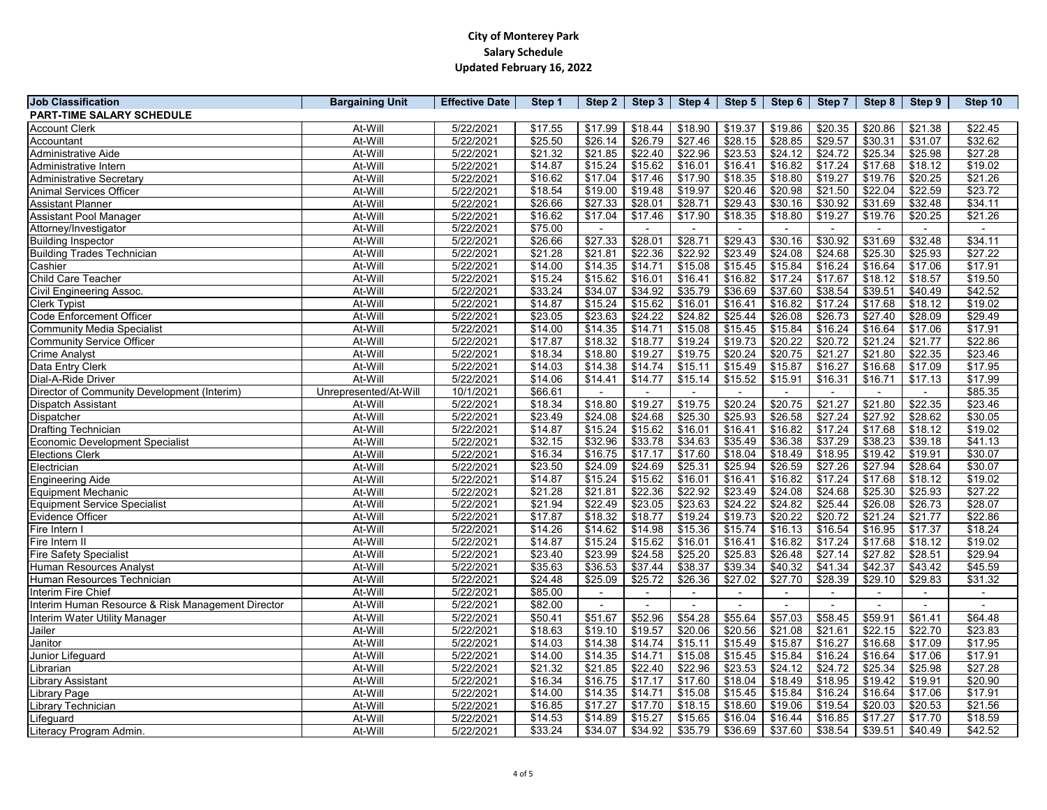| <b>Job Classification</b>                         | <b>Bargaining Unit</b> | <b>Effective Date</b> | Step 1  | Step 2  | Step $3$ | Step 4                   |         | Step 5   Step 6 | Step 7  | Step 8  | Step 9  | Step 10                  |
|---------------------------------------------------|------------------------|-----------------------|---------|---------|----------|--------------------------|---------|-----------------|---------|---------|---------|--------------------------|
| <b>PART-TIME SALARY SCHEDULE</b>                  |                        |                       |         |         |          |                          |         |                 |         |         |         |                          |
| <b>Account Clerk</b>                              | At-Will                | 5/22/2021             | \$17.55 | \$17.99 | \$18.44  | \$18.90                  | \$19.37 | \$19.86         | \$20.35 | \$20.86 | \$21.38 | \$22.45                  |
| Accountant                                        | At-Will                | 5/22/2021             | \$25.50 | \$26.14 | \$26.79  | \$27.46                  | \$28.15 | \$28.85         | \$29.57 | \$30.31 | \$31.07 | \$32.62                  |
| Administrative Aide                               | At-Will                | 5/22/2021             | \$21.32 | \$21.85 | \$22.40  | \$22.96                  | \$23.53 | \$24.12         | \$24.72 | \$25.34 | \$25.98 | \$27.28                  |
| Administrative Intern                             | At-Will                | 5/22/2021             | \$14.87 | \$15.24 | \$15.62  | \$16.01                  | \$16.41 | \$16.82         | \$17.24 | \$17.68 | \$18.12 | \$19.02                  |
| <b>Administrative Secretary</b>                   | At-Will                | 5/22/2021             | \$16.62 | \$17.04 | \$17.46  | \$17.90                  | \$18.35 | \$18.80         | \$19.27 | \$19.76 | \$20.25 | \$21.26                  |
| <b>Animal Services Officer</b>                    | At-Will                | 5/22/2021             | \$18.54 | \$19.00 | \$19.48  | \$19.97                  | \$20.46 | \$20.98         | \$21.50 | \$22.04 | \$22.59 | \$23.72                  |
| <b>Assistant Planner</b>                          | At-Will                | 5/22/2021             | \$26.66 | \$27.33 | \$28.01  | \$28.71                  | \$29.43 | \$30.16         | \$30.92 | \$31.69 | \$32.48 | \$34.11                  |
| <b>Assistant Pool Manager</b>                     | At-Will                | 5/22/2021             | \$16.62 | \$17.04 | \$17.46  | \$17.90                  | \$18.35 | \$18.80         | \$19.27 | \$19.76 | \$20.25 | \$21.26                  |
| Attorney/Investigator                             | At-Will                | 5/22/2021             | \$75.00 |         |          |                          |         |                 |         |         |         |                          |
| <b>Building Inspector</b>                         | At-Will                | 5/22/2021             | \$26.66 | \$27.33 | \$28.01  | \$28.71                  | \$29.43 | \$30.16         | \$30.92 | \$31.69 | \$32.48 | \$34.11                  |
| <b>Building Trades Technician</b>                 | At-Will                | 5/22/2021             | \$21.28 | \$21.81 | \$22.36  | \$22.92                  | \$23.49 | \$24.08         | \$24.68 | \$25.30 | \$25.93 | \$27.22                  |
| Cashier                                           | At-Will                | 5/22/2021             | \$14.00 | \$14.35 | \$14.71  | \$15.08                  | \$15.45 | \$15.84         | \$16.24 | \$16.64 | \$17.06 | \$17.91                  |
| <b>Child Care Teacher</b>                         | At-Will                | 5/22/2021             | \$15.24 | \$15.62 | \$16.01  | \$16.41                  | \$16.82 | \$17.24         | \$17.67 | \$18.12 | \$18.57 | \$19.50                  |
| <b>Civil Engineering Assoc.</b>                   | At-Will                | 5/22/2021             | \$33.24 | \$34.07 | \$34.92  | \$35.79                  | \$36.69 | \$37.60         | \$38.54 | \$39.51 | \$40.49 | \$42.52                  |
| <b>Clerk Typist</b>                               | At-Will                | 5/22/2021             | \$14.87 | \$15.24 | \$15.62  | \$16.01                  | \$16.41 | \$16.82         | \$17.24 | \$17.68 | \$18.12 | \$19.02                  |
| <b>Code Enforcement Officer</b>                   | At-Will                | 5/22/2021             | \$23.05 | \$23.63 | \$24.22  | \$24.82                  | \$25.44 | \$26.08         | \$26.73 | \$27.40 | \$28.09 | \$29.49                  |
| <b>Community Media Specialist</b>                 | At-Will                | 5/22/2021             | \$14.00 | \$14.35 | \$14.71  | \$15.08                  | \$15.45 | \$15.84         | \$16.24 | \$16.64 | \$17.06 | \$17.91                  |
| <b>Community Service Officer</b>                  | At-Will                | 5/22/2021             | \$17.87 | \$18.32 | \$18.77  | \$19.24                  | \$19.73 | \$20.22         | \$20.72 | \$21.24 | \$21.77 | \$22.86                  |
| <b>Crime Analyst</b>                              | At-Will                | 5/22/2021             | \$18.34 | \$18.80 | \$19.27  | \$19.75                  | \$20.24 | \$20.75         | \$21.27 | \$21.80 | \$22.35 | \$23.46                  |
| Data Entry Clerk                                  | At-Will                | 5/22/2021             | \$14.03 | \$14.38 | \$14.74  | \$15.11                  | \$15.49 | \$15.87         | \$16.27 | \$16.68 | \$17.09 | \$17.95                  |
| Dial-A-Ride Driver                                | At-Will                | 5/22/2021             | \$14.06 | \$14.41 | \$14.77  | \$15.14                  | \$15.52 | \$15.91         | \$16.31 | \$16.71 | \$17.13 | \$17.99                  |
| Director of Community Development (Interim)       | Unrepresented/At-Will  | 10/1/2021             | \$66.61 |         |          |                          |         |                 |         |         |         | \$85.35                  |
| <b>Dispatch Assistant</b>                         | At-Will                | 5/22/2021             | \$18.34 | \$18.80 | \$19.27  | \$19.75                  | \$20.24 | \$20.75         | \$21.27 | \$21.80 | \$22.35 | \$23.46                  |
| Dispatcher                                        | At-Will                | 5/22/2021             | \$23.49 | \$24.08 | \$24.68  | \$25.30                  | \$25.93 | \$26.58         | \$27.24 | \$27.92 | \$28.62 | \$30.05                  |
| <b>Drafting Technician</b>                        | At-Will                | 5/22/2021             | \$14.87 | \$15.24 | \$15.62  | \$16.01                  | \$16.41 | \$16.82         | \$17.24 | \$17.68 | \$18.12 | \$19.02                  |
| <b>Economic Development Specialist</b>            | At-Will                | 5/22/2021             | \$32.15 | \$32.96 | \$33.78  | \$34.63                  | \$35.49 | \$36.38         | \$37.29 | \$38.23 | \$39.18 | \$41.13                  |
| Elections Clerk                                   | At-Will                | 5/22/2021             | \$16.34 | \$16.75 | \$17.17  | \$17.60                  | \$18.04 | \$18.49         | \$18.95 | \$19.42 | \$19.91 | \$30.07                  |
| Electrician                                       | At-Will                | 5/22/2021             | \$23.50 | \$24.09 | \$24.69  | \$25.31                  | \$25.94 | \$26.59         | \$27.26 | \$27.94 | \$28.64 | \$30.07                  |
| <b>Engineering Aide</b>                           | At-Will                | 5/22/2021             | \$14.87 | \$15.24 | \$15.62  | \$16.01                  | \$16.41 | \$16.82         | \$17.24 | \$17.68 | \$18.12 | \$19.02                  |
| <b>Equipment Mechanic</b>                         | At-Will                | 5/22/2021             | \$21.28 | \$21.81 | \$22.36  | \$22.92                  | \$23.49 | \$24.08         | \$24.68 | \$25.30 | \$25.93 | \$27.22                  |
| <b>Equipment Service Specialist</b>               | At-Will                | 5/22/2021             | \$21.94 | \$22.49 | \$23.05  | \$23.63                  | \$24.22 | \$24.82         | \$25.44 | \$26.08 | \$26.73 | \$28.07                  |
| Evidence Officer                                  | At-Will                | 5/22/2021             | \$17.87 | \$18.32 | \$18.77  | \$19.24                  | \$19.73 | \$20.22         | \$20.72 | \$21.24 | \$21.77 | \$22.86                  |
| Fire Intern I                                     | At-Will                | 5/22/2021             | \$14.26 | \$14.62 | \$14.98  | \$15.36                  | \$15.74 | \$16.13         | \$16.54 | \$16.95 | \$17.37 | \$18.24                  |
| Fire Intern II                                    | At-Will                | 5/22/2021             | \$14.87 | \$15.24 | \$15.62  | \$16.01                  | \$16.41 | \$16.82         | \$17.24 | \$17.68 | \$18.12 | \$19.02                  |
| <b>Fire Safety Specialist</b>                     | At-Will                | 5/22/2021             | \$23.40 | \$23.99 | \$24.58  | \$25.20                  | \$25.83 | \$26.48         | \$27.14 | \$27.82 | \$28.51 | \$29.94                  |
| Human Resources Analyst                           | At-Will                | 5/22/2021             | \$35.63 | \$36.53 | \$37.44  | \$38.37                  | \$39.34 | \$40.32         | \$41.34 | \$42.37 | \$43.42 | \$45.59                  |
| Human Resources Technician                        | At-Will                | 5/22/2021             | \$24.48 | \$25.09 | \$25.72  | \$26.36                  | \$27.02 | \$27.70         | \$28.39 | \$29.10 | \$29.83 | \$31.32                  |
| Interim Fire Chief                                | At-Will                | 5/22/2021             | \$85.00 | $\sim$  |          | $\overline{\phantom{a}}$ |         | $\blacksquare$  |         |         |         | $\overline{\phantom{a}}$ |
| Interim Human Resource & Risk Management Director | At-Will                | 5/22/2021             | \$82.00 |         |          |                          |         |                 |         |         |         |                          |
| Interim Water Utility Manager                     | At-Will                | 5/22/2021             | \$50.41 | \$51.67 | \$52.96  | \$54.28                  | \$55.64 | \$57.03         | \$58.45 | \$59.91 | \$61.41 | \$64.48                  |
| Jailer                                            | At-Will                | 5/22/2021             | \$18.63 | \$19.10 | \$19.57  | \$20.06                  | \$20.56 | \$21.08         | \$21.61 | \$22.15 | \$22.70 | \$23.83                  |
| Janitor                                           | At-Will                | 5/22/2021             | \$14.03 | \$14.38 | \$14.74  | \$15.11                  | \$15.49 | \$15.87         | \$16.27 | \$16.68 | \$17.09 | \$17.95                  |
| Junior Lifeguard                                  | At-Will                | 5/22/2021             | \$14.00 | \$14.35 | \$14.71  | \$15.08                  | \$15.45 | \$15.84         | \$16.24 | \$16.64 | \$17.06 | \$17.91                  |
| Librarian                                         | At-Will                | 5/22/2021             | \$21.32 | \$21.85 | \$22.40  | \$22.96                  | \$23.53 | \$24.12         | \$24.72 | \$25.34 | \$25.98 | \$27.28                  |
| <b>Library Assistant</b>                          | At-Will                | 5/22/2021             | \$16.34 | \$16.75 | \$17.17  | \$17.60                  | \$18.04 | \$18.49         | \$18.95 | \$19.42 | \$19.91 | \$20.90                  |
| <b>Library Page</b>                               | At-Will                | 5/22/2021             | \$14.00 | \$14.35 | \$14.71  | \$15.08                  | \$15.45 | \$15.84         | \$16.24 | \$16.64 | \$17.06 | \$17.91                  |
| Library Technician                                | At-Will                | 5/22/2021             | \$16.85 | \$17.27 | \$17.70  | \$18.15                  | \$18.60 | \$19.06         | \$19.54 | \$20.03 | \$20.53 | \$21.56                  |
| .ifeguard                                         | At-Will                | 5/22/2021             | \$14.53 | \$14.89 | \$15.27  | \$15.65                  | \$16.04 | \$16.44         | \$16.85 | \$17.27 | \$17.70 | \$18.59                  |
| Literacy Program Admin.                           | At-Will                | 5/22/2021             | \$33.24 | \$34.07 | \$34.92  | \$35.79                  | \$36.69 | \$37.60         | \$38.54 | \$39.51 | \$40.49 | \$42.52                  |